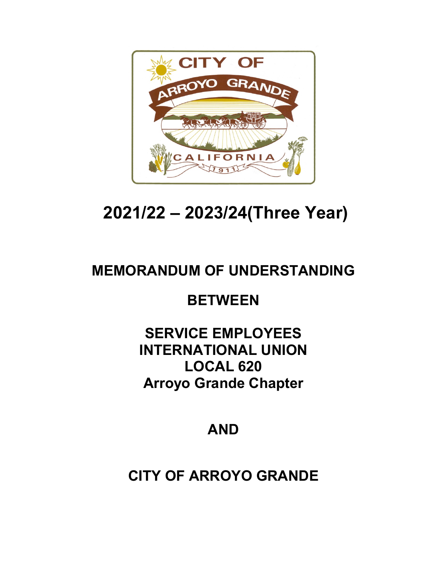

# **2021/22 – 2023/24(Three Year)**

## **MEMORANDUM OF UNDERSTANDING**

## **BETWEEN**

## **SERVICE EMPLOYEES INTERNATIONAL UNION LOCAL 620 Arroyo Grande Chapter**

## **AND**

## **CITY OF ARROYO GRANDE**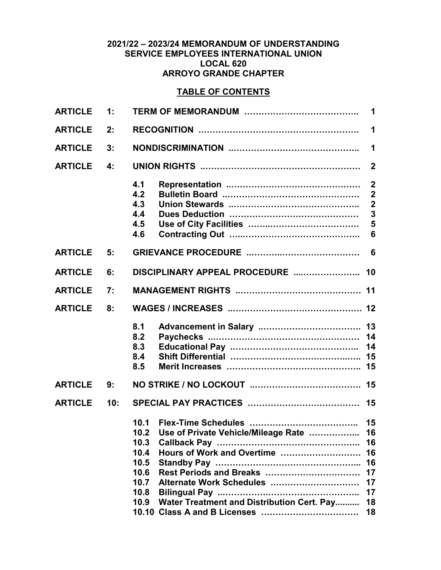#### **2021/22 – 2023/24 MEMORANDUM OF UNDERSTANDING SERVICE EMPLOYEES INTERNATIONAL UNION LOCAL 620 ARROYO GRANDE CHAPTER**

## **TABLE OF CONTENTS**

| <b>ARTICLE</b> | 1:  | 1                                                                                                                                                                                                                                              |                                                                                                                                        |  |  |  |  |  |  |
|----------------|-----|------------------------------------------------------------------------------------------------------------------------------------------------------------------------------------------------------------------------------------------------|----------------------------------------------------------------------------------------------------------------------------------------|--|--|--|--|--|--|
| <b>ARTICLE</b> | 2:  | 1                                                                                                                                                                                                                                              |                                                                                                                                        |  |  |  |  |  |  |
| <b>ARTICLE</b> | 3:  | 1                                                                                                                                                                                                                                              |                                                                                                                                        |  |  |  |  |  |  |
| <b>ARTICLE</b> | 4:  |                                                                                                                                                                                                                                                | $\overline{2}$                                                                                                                         |  |  |  |  |  |  |
|                |     | 4.1<br>4.2<br>4.3<br>4.4<br>4.5<br>4.6                                                                                                                                                                                                         | $\boldsymbol{2}$<br>$\overline{\mathbf{2}}$<br>$\overline{\mathbf{2}}$<br>$\overline{\mathbf{3}}$<br>$\overline{5}$<br>$6\phantom{1}6$ |  |  |  |  |  |  |
| <b>ARTICLE</b> | 5:  |                                                                                                                                                                                                                                                | 6                                                                                                                                      |  |  |  |  |  |  |
| <b>ARTICLE</b> | 6:  | DISCIPLINARY APPEAL PROCEDURE                                                                                                                                                                                                                  | 10                                                                                                                                     |  |  |  |  |  |  |
| <b>ARTICLE</b> | 7:  |                                                                                                                                                                                                                                                |                                                                                                                                        |  |  |  |  |  |  |
| <b>ARTICLE</b> | 8:  |                                                                                                                                                                                                                                                |                                                                                                                                        |  |  |  |  |  |  |
|                |     | 8.1<br>8.2<br>8.3<br>8.4<br>8.5                                                                                                                                                                                                                | 14<br>14                                                                                                                               |  |  |  |  |  |  |
| <b>ARTICLE</b> | 9:  |                                                                                                                                                                                                                                                |                                                                                                                                        |  |  |  |  |  |  |
| <b>ARTICLE</b> | 10: |                                                                                                                                                                                                                                                | 15                                                                                                                                     |  |  |  |  |  |  |
|                |     | 10.1<br>Use of Private Vehicle/Mileage Rate<br>10.2<br>10.3<br>Hours of Work and Overtime<br>10.4<br>10.5<br>Rest Periods and Breaks<br>10.6<br>10.7<br>Alternate Work Schedules<br>10.8<br>Water Treatment and Distribution Cert. Pay<br>10.9 | 16<br>16<br>16<br>16<br>17<br>17<br>17<br>18<br>18                                                                                     |  |  |  |  |  |  |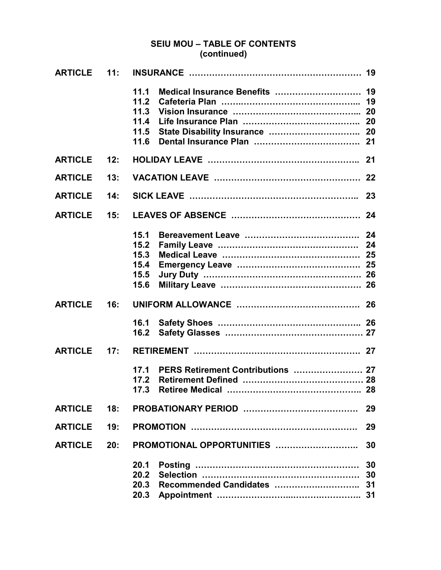## **SEIU MOU – TABLE OF CONTENTS (continued)**

| <b>ARTICLE</b> | $-11:$ |                                              |          |
|----------------|--------|----------------------------------------------|----------|
|                |        | 11.1<br>11.2<br>11.3<br>11.4<br>11.5<br>11.6 |          |
| <b>ARTICLE</b> | 12:    |                                              |          |
| <b>ARTICLE</b> | 13:    |                                              |          |
| <b>ARTICLE</b> | 14:    |                                              |          |
| <b>ARTICLE</b> | 15:    |                                              |          |
|                |        | 15.1<br>15.2<br>15.3<br>15.4<br>15.5<br>15.6 |          |
| <b>ARTICLE</b> | 16:    |                                              |          |
|                |        | 16.1<br>16.2                                 |          |
| <b>ARTICLE</b> | 17:    |                                              |          |
|                |        | 17.1<br>17.2<br>17 3                         |          |
| <b>ARTICLE</b> | 18:    |                                              | 29       |
| <b>ARTICLE</b> | 19:    |                                              | 29       |
| <b>ARTICLE</b> | 20:    | PROMOTIONAL OPPORTUNITIES                    | 30       |
|                |        | 20.1<br>20.2                                 | 30<br>30 |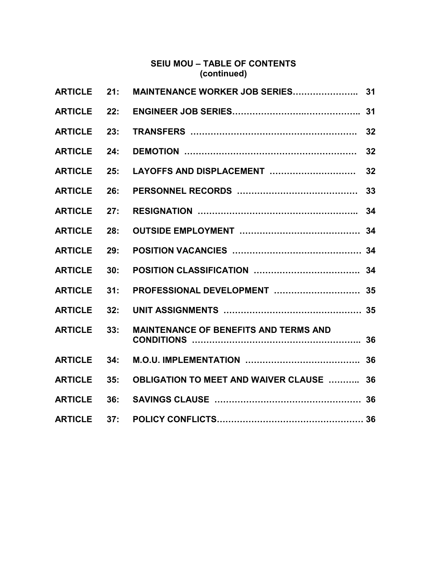## **SEIU MOU – TABLE OF CONTENTS (continued)**

| <b>ARTICLE</b> | 21: |                                                 |    |
|----------------|-----|-------------------------------------------------|----|
| <b>ARTICLE</b> | 22: |                                                 | 31 |
| <b>ARTICLE</b> | 23: |                                                 | 32 |
| <b>ARTICLE</b> | 24: |                                                 | 32 |
| <b>ARTICLE</b> | 25: | LAYOFFS AND DISPLACEMENT                        | 32 |
| <b>ARTICLE</b> | 26: |                                                 | 33 |
| <b>ARTICLE</b> | 27: |                                                 | 34 |
| <b>ARTICLE</b> | 28: |                                                 | 34 |
| <b>ARTICLE</b> | 29: |                                                 |    |
| <b>ARTICLE</b> | 30: |                                                 |    |
| <b>ARTICLE</b> | 31: |                                                 |    |
| <b>ARTICLE</b> | 32: |                                                 |    |
| <b>ARTICLE</b> | 33: | <b>MAINTENANCE OF BENEFITS AND TERMS AND</b>    |    |
| <b>ARTICLE</b> | 34: |                                                 |    |
| <b>ARTICLE</b> | 35: | <b>OBLIGATION TO MEET AND WAIVER CLAUSE  36</b> |    |
| <b>ARTICLE</b> | 36: |                                                 |    |
| <b>ARTICLE</b> | 37: |                                                 |    |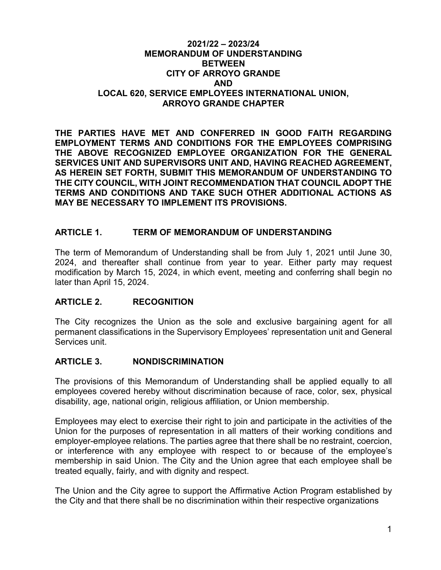#### **2021/22 – 2023/24 MEMORANDUM OF UNDERSTANDING BETWEEN CITY OF ARROYO GRANDE AND LOCAL 620, SERVICE EMPLOYEES INTERNATIONAL UNION, ARROYO GRANDE CHAPTER**

**THE PARTIES HAVE MET AND CONFERRED IN GOOD FAITH REGARDING EMPLOYMENT TERMS AND CONDITIONS FOR THE EMPLOYEES COMPRISING THE ABOVE RECOGNIZED EMPLOYEE ORGANIZATION FOR THE GENERAL SERVICES UNIT AND SUPERVISORS UNIT AND, HAVING REACHED AGREEMENT, AS HEREIN SET FORTH, SUBMIT THIS MEMORANDUM OF UNDERSTANDING TO THE CITY COUNCIL, WITH JOINT RECOMMENDATION THAT COUNCIL ADOPT THE TERMS AND CONDITIONS AND TAKE SUCH OTHER ADDITIONAL ACTIONS AS MAY BE NECESSARY TO IMPLEMENT ITS PROVISIONS.**

### **ARTICLE 1. TERM OF MEMORANDUM OF UNDERSTANDING**

The term of Memorandum of Understanding shall be from July 1, 2021 until June 30, 2024, and thereafter shall continue from year to year. Either party may request modification by March 15, 2024, in which event, meeting and conferring shall begin no later than April 15, 2024.

#### **ARTICLE 2. RECOGNITION**

The City recognizes the Union as the sole and exclusive bargaining agent for all permanent classifications in the Supervisory Employees' representation unit and General Services unit.

#### **ARTICLE 3. NONDISCRIMINATION**

The provisions of this Memorandum of Understanding shall be applied equally to all employees covered hereby without discrimination because of race, color, sex, physical disability, age, national origin, religious affiliation, or Union membership.

Employees may elect to exercise their right to join and participate in the activities of the Union for the purposes of representation in all matters of their working conditions and employer-employee relations. The parties agree that there shall be no restraint, coercion, or interference with any employee with respect to or because of the employee's membership in said Union. The City and the Union agree that each employee shall be treated equally, fairly, and with dignity and respect.

The Union and the City agree to support the Affirmative Action Program established by the City and that there shall be no discrimination within their respective organizations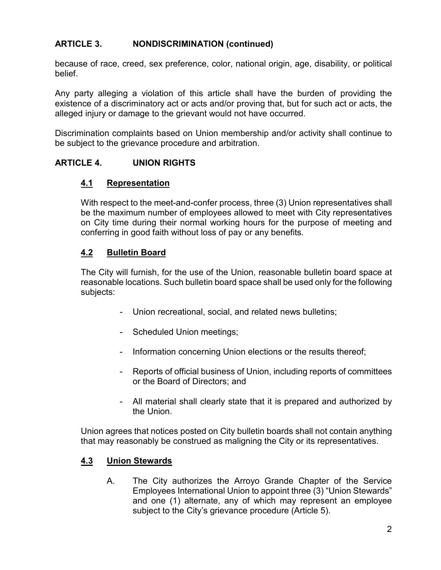## **ARTICLE 3. NONDISCRIMINATION (continued)**

because of race, creed, sex preference, color, national origin, age, disability, or political belief.

Any party alleging a violation of this article shall have the burden of providing the existence of a discriminatory act or acts and/or proving that, but for such act or acts, the alleged injury or damage to the grievant would not have occurred.

Discrimination complaints based on Union membership and/or activity shall continue to be subject to the grievance procedure and arbitration.

### **ARTICLE 4. UNION RIGHTS**

### **4.1 Representation**

With respect to the meet-and-confer process, three (3) Union representatives shall be the maximum number of employees allowed to meet with City representatives on City time during their normal working hours for the purpose of meeting and conferring in good faith without loss of pay or any benefits.

### **4.2 Bulletin Board**

The City will furnish, for the use of the Union, reasonable bulletin board space at reasonable locations. Such bulletin board space shall be used only for the following subjects:

- Union recreational, social, and related news bulletins;
- Scheduled Union meetings;
- Information concerning Union elections or the results thereof;
- Reports of official business of Union, including reports of committees or the Board of Directors; and
- All material shall clearly state that it is prepared and authorized by the Union.

Union agrees that notices posted on City bulletin boards shall not contain anything that may reasonably be construed as maligning the City or its representatives.

### **4.3 Union Stewards**

A. The City authorizes the Arroyo Grande Chapter of the Service Employees International Union to appoint three (3) "Union Stewards" and one (1) alternate, any of which may represent an employee subject to the City's grievance procedure (Article 5).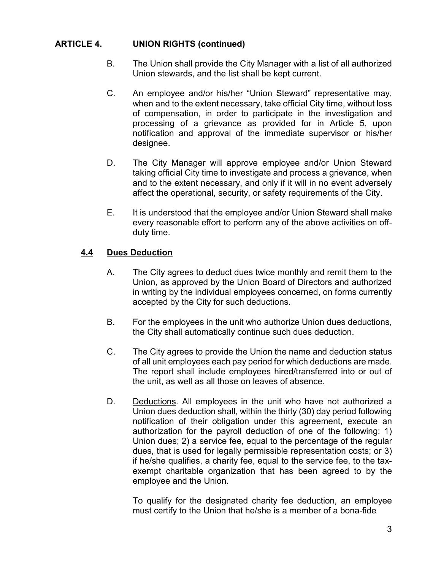- B. The Union shall provide the City Manager with a list of all authorized Union stewards, and the list shall be kept current.
- C. An employee and/or his/her "Union Steward" representative may, when and to the extent necessary, take official City time, without loss of compensation, in order to participate in the investigation and processing of a grievance as provided for in Article 5, upon notification and approval of the immediate supervisor or his/her designee.
- D. The City Manager will approve employee and/or Union Steward taking official City time to investigate and process a grievance, when and to the extent necessary, and only if it will in no event adversely affect the operational, security, or safety requirements of the City.
- E. It is understood that the employee and/or Union Steward shall make every reasonable effort to perform any of the above activities on offduty time.

### **4.4 Dues Deduction**

- A. The City agrees to deduct dues twice monthly and remit them to the Union, as approved by the Union Board of Directors and authorized in writing by the individual employees concerned, on forms currently accepted by the City for such deductions.
- B. For the employees in the unit who authorize Union dues deductions, the City shall automatically continue such dues deduction.
- C. The City agrees to provide the Union the name and deduction status of all unit employees each pay period for which deductions are made. The report shall include employees hired/transferred into or out of the unit, as well as all those on leaves of absence.
- D. Deductions. All employees in the unit who have not authorized a Union dues deduction shall, within the thirty (30) day period following notification of their obligation under this agreement, execute an authorization for the payroll deduction of one of the following: 1) Union dues; 2) a service fee, equal to the percentage of the regular dues, that is used for legally permissible representation costs; or 3) if he/she qualifies, a charity fee, equal to the service fee, to the taxexempt charitable organization that has been agreed to by the employee and the Union.

To qualify for the designated charity fee deduction, an employee must certify to the Union that he/she is a member of a bona-fide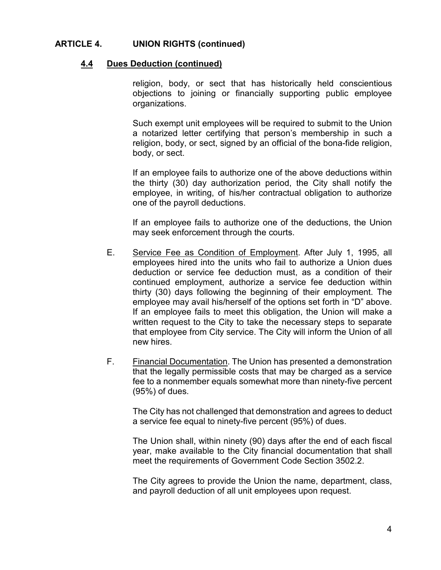#### **4.4 Dues Deduction (continued)**

religion, body, or sect that has historically held conscientious objections to joining or financially supporting public employee organizations.

Such exempt unit employees will be required to submit to the Union a notarized letter certifying that person's membership in such a religion, body, or sect, signed by an official of the bona-fide religion, body, or sect.

If an employee fails to authorize one of the above deductions within the thirty (30) day authorization period, the City shall notify the employee, in writing, of his/her contractual obligation to authorize one of the payroll deductions.

If an employee fails to authorize one of the deductions, the Union may seek enforcement through the courts.

- E. Service Fee as Condition of Employment. After July 1, 1995, all employees hired into the units who fail to authorize a Union dues deduction or service fee deduction must, as a condition of their continued employment, authorize a service fee deduction within thirty (30) days following the beginning of their employment. The employee may avail his/herself of the options set forth in "D" above. If an employee fails to meet this obligation, the Union will make a written request to the City to take the necessary steps to separate that employee from City service. The City will inform the Union of all new hires.
- F. Financial Documentation. The Union has presented a demonstration that the legally permissible costs that may be charged as a service fee to a nonmember equals somewhat more than ninety-five percent (95%) of dues.

The City has not challenged that demonstration and agrees to deduct a service fee equal to ninety-five percent (95%) of dues.

The Union shall, within ninety (90) days after the end of each fiscal year, make available to the City financial documentation that shall meet the requirements of Government Code Section 3502.2.

The City agrees to provide the Union the name, department, class, and payroll deduction of all unit employees upon request.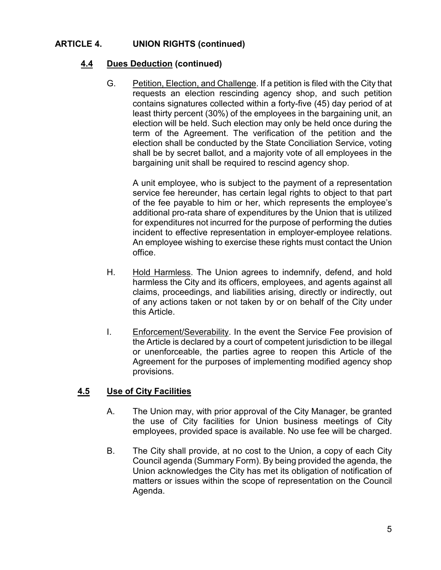## **4.4 Dues Deduction (continued)**

G. Petition, Election, and Challenge. If a petition is filed with the City that requests an election rescinding agency shop, and such petition contains signatures collected within a forty-five (45) day period of at least thirty percent (30%) of the employees in the bargaining unit, an election will be held. Such election may only be held once during the term of the Agreement. The verification of the petition and the election shall be conducted by the State Conciliation Service, voting shall be by secret ballot, and a majority vote of all employees in the bargaining unit shall be required to rescind agency shop.

A unit employee, who is subject to the payment of a representation service fee hereunder, has certain legal rights to object to that part of the fee payable to him or her, which represents the employee's additional pro-rata share of expenditures by the Union that is utilized for expenditures not incurred for the purpose of performing the duties incident to effective representation in employer-employee relations. An employee wishing to exercise these rights must contact the Union office.

- H. Hold Harmless. The Union agrees to indemnify, defend, and hold harmless the City and its officers, employees, and agents against all claims, proceedings, and liabilities arising, directly or indirectly, out of any actions taken or not taken by or on behalf of the City under this Article.
- I. Enforcement/Severability. In the event the Service Fee provision of the Article is declared by a court of competent jurisdiction to be illegal or unenforceable, the parties agree to reopen this Article of the Agreement for the purposes of implementing modified agency shop provisions.

### **4.5 Use of City Facilities**

- A. The Union may, with prior approval of the City Manager, be granted the use of City facilities for Union business meetings of City employees, provided space is available. No use fee will be charged.
- B. The City shall provide, at no cost to the Union, a copy of each City Council agenda (Summary Form). By being provided the agenda, the Union acknowledges the City has met its obligation of notification of matters or issues within the scope of representation on the Council Agenda.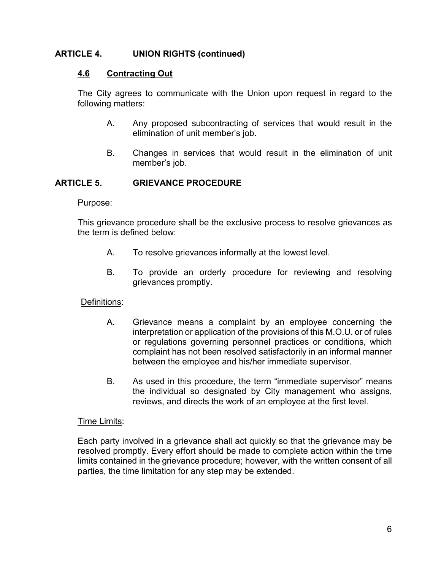#### **4.6 Contracting Out**

The City agrees to communicate with the Union upon request in regard to the following matters:

- A. Any proposed subcontracting of services that would result in the elimination of unit member's job.
- B. Changes in services that would result in the elimination of unit member's job.

#### **ARTICLE 5. GRIEVANCE PROCEDURE**

#### Purpose:

This grievance procedure shall be the exclusive process to resolve grievances as the term is defined below:

- A. To resolve grievances informally at the lowest level.
- B. To provide an orderly procedure for reviewing and resolving grievances promptly.

#### Definitions:

- A. Grievance means a complaint by an employee concerning the interpretation or application of the provisions of this M.O.U. or of rules or regulations governing personnel practices or conditions, which complaint has not been resolved satisfactorily in an informal manner between the employee and his/her immediate supervisor.
- B. As used in this procedure, the term "immediate supervisor" means the individual so designated by City management who assigns, reviews, and directs the work of an employee at the first level.

#### **Time Limits:**

Each party involved in a grievance shall act quickly so that the grievance may be resolved promptly. Every effort should be made to complete action within the time limits contained in the grievance procedure; however, with the written consent of all parties, the time limitation for any step may be extended.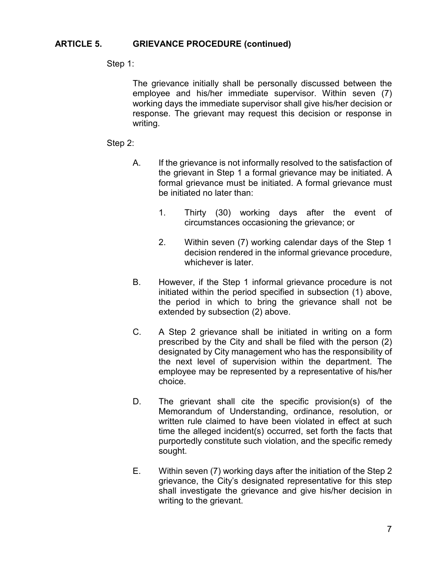#### **ARTICLE 5. GRIEVANCE PROCEDURE (continued)**

#### Step 1:

The grievance initially shall be personally discussed between the employee and his/her immediate supervisor. Within seven (7) working days the immediate supervisor shall give his/her decision or response. The grievant may request this decision or response in writing.

#### Step 2:

- A. If the grievance is not informally resolved to the satisfaction of the grievant in Step 1 a formal grievance may be initiated. A formal grievance must be initiated. A formal grievance must be initiated no later than:
	- 1. Thirty (30) working days after the event of circumstances occasioning the grievance; or
	- 2. Within seven (7) working calendar days of the Step 1 decision rendered in the informal grievance procedure, whichever is later.
- B. However, if the Step 1 informal grievance procedure is not initiated within the period specified in subsection (1) above, the period in which to bring the grievance shall not be extended by subsection (2) above.
- C. A Step 2 grievance shall be initiated in writing on a form prescribed by the City and shall be filed with the person (2) designated by City management who has the responsibility of the next level of supervision within the department. The employee may be represented by a representative of his/her choice.
- D. The grievant shall cite the specific provision(s) of the Memorandum of Understanding, ordinance, resolution, or written rule claimed to have been violated in effect at such time the alleged incident(s) occurred, set forth the facts that purportedly constitute such violation, and the specific remedy sought.
- E. Within seven (7) working days after the initiation of the Step 2 grievance, the City's designated representative for this step shall investigate the grievance and give his/her decision in writing to the grievant.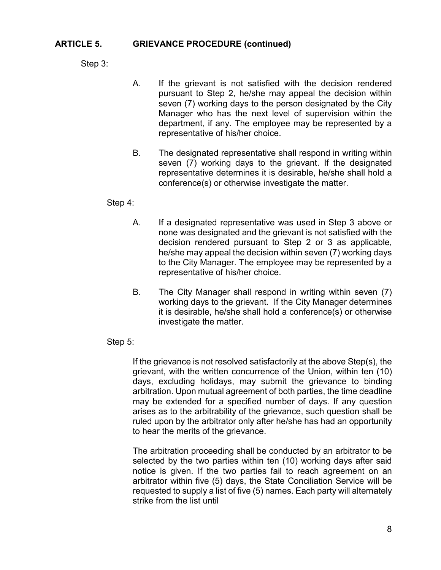#### **ARTICLE 5. GRIEVANCE PROCEDURE (continued)**

Step 3:

- A. If the grievant is not satisfied with the decision rendered pursuant to Step 2, he/she may appeal the decision within seven (7) working days to the person designated by the City Manager who has the next level of supervision within the department, if any. The employee may be represented by a representative of his/her choice.
- B. The designated representative shall respond in writing within seven (7) working days to the grievant. If the designated representative determines it is desirable, he/she shall hold a conference(s) or otherwise investigate the matter.

#### Step 4:

- A. If a designated representative was used in Step 3 above or none was designated and the grievant is not satisfied with the decision rendered pursuant to Step 2 or 3 as applicable, he/she may appeal the decision within seven (7) working days to the City Manager. The employee may be represented by a representative of his/her choice.
- B. The City Manager shall respond in writing within seven (7) working days to the grievant. If the City Manager determines it is desirable, he/she shall hold a conference(s) or otherwise investigate the matter.

#### Step 5:

If the grievance is not resolved satisfactorily at the above Step(s), the grievant, with the written concurrence of the Union, within ten (10) days, excluding holidays, may submit the grievance to binding arbitration. Upon mutual agreement of both parties, the time deadline may be extended for a specified number of days. If any question arises as to the arbitrability of the grievance, such question shall be ruled upon by the arbitrator only after he/she has had an opportunity to hear the merits of the grievance.

The arbitration proceeding shall be conducted by an arbitrator to be selected by the two parties within ten (10) working days after said notice is given. If the two parties fail to reach agreement on an arbitrator within five (5) days, the State Conciliation Service will be requested to supply a list of five (5) names. Each party will alternately strike from the list until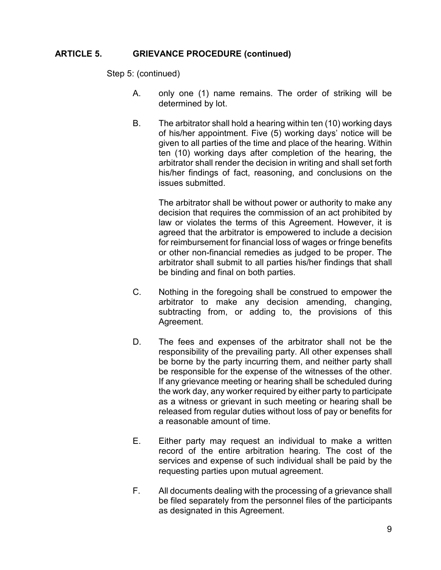#### **ARTICLE 5. GRIEVANCE PROCEDURE (continued)**

Step 5: (continued)

- A. only one (1) name remains. The order of striking will be determined by lot.
- B. The arbitrator shall hold a hearing within ten (10) working days of his/her appointment. Five (5) working days' notice will be given to all parties of the time and place of the hearing. Within ten (10) working days after completion of the hearing, the arbitrator shall render the decision in writing and shall set forth his/her findings of fact, reasoning, and conclusions on the issues submitted.

The arbitrator shall be without power or authority to make any decision that requires the commission of an act prohibited by law or violates the terms of this Agreement. However, it is agreed that the arbitrator is empowered to include a decision for reimbursement for financial loss of wages or fringe benefits or other non-financial remedies as judged to be proper. The arbitrator shall submit to all parties his/her findings that shall be binding and final on both parties.

- C. Nothing in the foregoing shall be construed to empower the arbitrator to make any decision amending, changing, subtracting from, or adding to, the provisions of this Agreement.
- D. The fees and expenses of the arbitrator shall not be the responsibility of the prevailing party. All other expenses shall be borne by the party incurring them, and neither party shall be responsible for the expense of the witnesses of the other. If any grievance meeting or hearing shall be scheduled during the work day, any worker required by either party to participate as a witness or grievant in such meeting or hearing shall be released from regular duties without loss of pay or benefits for a reasonable amount of time.
- E. Either party may request an individual to make a written record of the entire arbitration hearing. The cost of the services and expense of such individual shall be paid by the requesting parties upon mutual agreement.
- F. All documents dealing with the processing of a grievance shall be filed separately from the personnel files of the participants as designated in this Agreement.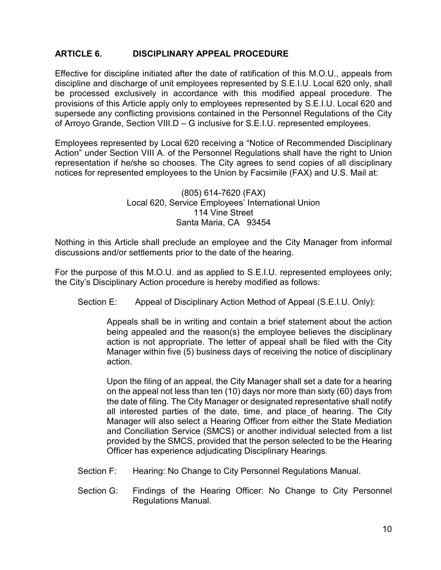#### **ARTICLE 6. DISCIPLINARY APPEAL PROCEDURE**

Effective for discipline initiated after the date of ratification of this M.O.U., appeals from discipline and discharge of unit employees represented by S.E.I.U. Local 620 only, shall be processed exclusively in accordance with this modified appeal procedure. The provisions of this Article apply only to employees represented by S.E.I.U. Local 620 and supersede any conflicting provisions contained in the Personnel Regulations of the City of Arroyo Grande, Section VIII.D – G inclusive for S.E.I.U. represented employees.

Employees represented by Local 620 receiving a "Notice of Recommended Disciplinary Action" under Section VIII A. of the Personnel Regulations shall have the right to Union representation if he/she so chooses. The City agrees to send copies of all disciplinary notices for represented employees to the Union by Facsimile (FAX) and U.S. Mail at:

#### (805) 614-7620 (FAX) Local 620, Service Employees' International Union 114 Vine Street Santa Maria, CA 93454

Nothing in this Article shall preclude an employee and the City Manager from informal discussions and/or settlements prior to the date of the hearing.

For the purpose of this M.O.U. and as applied to S.E.I.U. represented employees only; the City's Disciplinary Action procedure is hereby modified as follows:

Section E: Appeal of Disciplinary Action Method of Appeal (S.E.I.U. Only):

Appeals shall be in writing and contain a brief statement about the action being appealed and the reason(s) the employee believes the disciplinary action is not appropriate. The letter of appeal shall be filed with the City Manager within five (5) business days of receiving the notice of disciplinary action.

Upon the filing of an appeal, the City Manager shall set a date for a hearing on the appeal not less than ten (10) days nor more than sixty (60) days from the date of filing. The City Manager or designated representative shall notify all interested parties of the date, time, and place of hearing. The City Manager will also select a Hearing Officer from either the State Mediation and Conciliation Service (SMCS) or another individual selected from a list provided by the SMCS, provided that the person selected to be the Hearing Officer has experience adjudicating Disciplinary Hearings.

- Section F: Hearing: No Change to City Personnel Regulations Manual.
- Section G: Findings of the Hearing Officer: No Change to City Personnel Regulations Manual.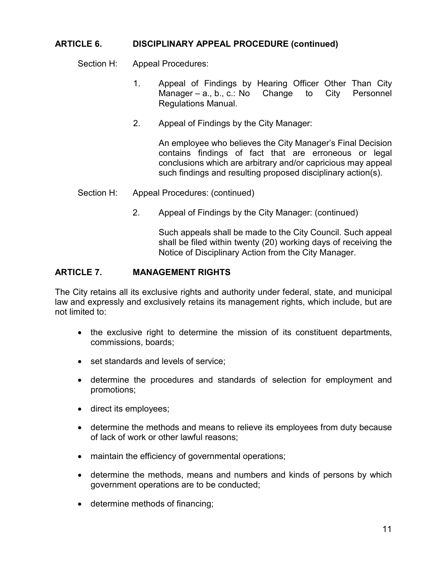#### **ARTICLE 6. DISCIPLINARY APPEAL PROCEDURE (continued)**

Section H: Appeal Procedures:

- 1. Appeal of Findings by Hearing Officer Other Than City Manager – a., b., c.: No Change to City Personnel Regulations Manual.
- 2. Appeal of Findings by the City Manager:

An employee who believes the City Manager's Final Decision contains findings of fact that are erroneous or legal conclusions which are arbitrary and/or capricious may appeal such findings and resulting proposed disciplinary action(s).

- Section H: Appeal Procedures: (continued)
	- 2. Appeal of Findings by the City Manager: (continued)

Such appeals shall be made to the City Council. Such appeal shall be filed within twenty (20) working days of receiving the Notice of Disciplinary Action from the City Manager.

#### **ARTICLE 7. MANAGEMENT RIGHTS**

The City retains all its exclusive rights and authority under federal, state, and municipal law and expressly and exclusively retains its management rights, which include, but are not limited to:

- the exclusive right to determine the mission of its constituent departments, commissions, boards;
- set standards and levels of service;
- determine the procedures and standards of selection for employment and promotions;
- direct its employees;
- determine the methods and means to relieve its employees from duty because of lack of work or other lawful reasons;
- maintain the efficiency of governmental operations;
- determine the methods, means and numbers and kinds of persons by which government operations are to be conducted;
- determine methods of financing;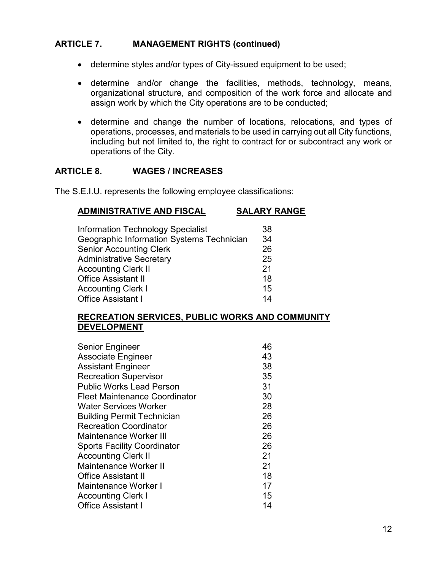#### **ARTICLE 7. MANAGEMENT RIGHTS (continued)**

- determine styles and/or types of City-issued equipment to be used;
- determine and/or change the facilities, methods, technology, means, organizational structure, and composition of the work force and allocate and assign work by which the City operations are to be conducted;
- determine and change the number of locations, relocations, and types of operations, processes, and materials to be used in carrying out all City functions, including but not limited to, the right to contract for or subcontract any work or operations of the City.

#### **ARTICLE 8. WAGES / INCREASES**

The S.E.I.U. represents the following employee classifications:

#### **ADMINISTRATIVE AND FISCAL SALARY RANGE**

| <b>Information Technology Specialist</b>  | 38 |
|-------------------------------------------|----|
| Geographic Information Systems Technician | 34 |
| <b>Senior Accounting Clerk</b>            | 26 |
| <b>Administrative Secretary</b>           | 25 |
| <b>Accounting Clerk II</b>                | 21 |
| <b>Office Assistant II</b>                | 18 |
| Accounting Clerk I                        | 15 |
| <b>Office Assistant I</b>                 | 14 |
|                                           |    |

#### **RECREATION SERVICES, PUBLIC WORKS AND COMMUNITY DEVELOPMENT**

| <b>Senior Engineer</b>             | 46 |
|------------------------------------|----|
| <b>Associate Engineer</b>          | 43 |
| <b>Assistant Engineer</b>          | 38 |
| <b>Recreation Supervisor</b>       | 35 |
| <b>Public Works Lead Person</b>    | 31 |
| Fleet Maintenance Coordinator      | 30 |
| Water Services Worker              | 28 |
| <b>Building Permit Technician</b>  | 26 |
| <b>Recreation Coordinator</b>      | 26 |
| Maintenance Worker III             | 26 |
| <b>Sports Facility Coordinator</b> | 26 |
| <b>Accounting Clerk II</b>         | 21 |
| Maintenance Worker II              | 21 |
| <b>Office Assistant II</b>         | 18 |
| <b>Maintenance Worker I</b>        | 17 |
| <b>Accounting Clerk I</b>          | 15 |
| <b>Office Assistant I</b>          | 14 |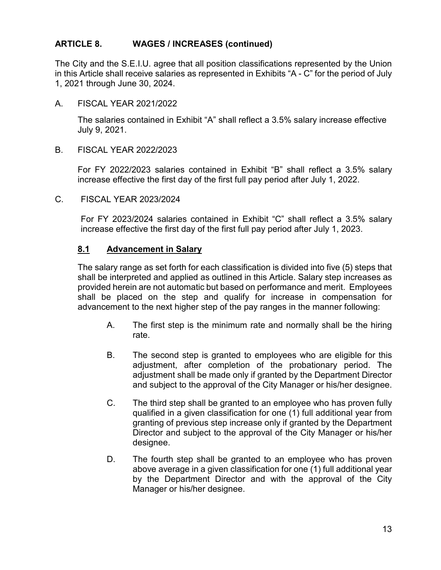#### **ARTICLE 8. WAGES / INCREASES (continued)**

The City and the S.E.I.U. agree that all position classifications represented by the Union in this Article shall receive salaries as represented in Exhibits "A - C" for the period of July 1, 2021 through June 30, 2024.

A. FISCAL YEAR 2021/2022

The salaries contained in Exhibit "A" shall reflect a 3.5% salary increase effective July 9, 2021.

B. FISCAL YEAR 2022/2023

For FY 2022/2023 salaries contained in Exhibit "B" shall reflect a 3.5% salary increase effective the first day of the first full pay period after July 1, 2022.

C. FISCAL YEAR 2023/2024

For FY 2023/2024 salaries contained in Exhibit "C" shall reflect a 3.5% salary increase effective the first day of the first full pay period after July 1, 2023.

#### **8.1 Advancement in Salary**

The salary range as set forth for each classification is divided into five (5) steps that shall be interpreted and applied as outlined in this Article. Salary step increases as provided herein are not automatic but based on performance and merit. Employees shall be placed on the step and qualify for increase in compensation for advancement to the next higher step of the pay ranges in the manner following:

- A. The first step is the minimum rate and normally shall be the hiring rate.
- B. The second step is granted to employees who are eligible for this adjustment, after completion of the probationary period. The adjustment shall be made only if granted by the Department Director and subject to the approval of the City Manager or his/her designee.
- C. The third step shall be granted to an employee who has proven fully qualified in a given classification for one (1) full additional year from granting of previous step increase only if granted by the Department Director and subject to the approval of the City Manager or his/her designee.
- D. The fourth step shall be granted to an employee who has proven above average in a given classification for one (1) full additional year by the Department Director and with the approval of the City Manager or his/her designee.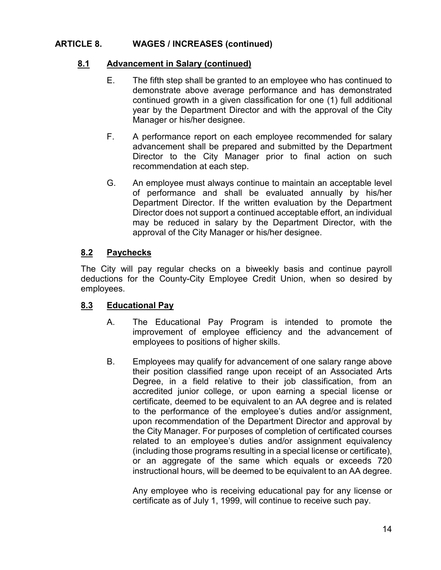## **ARTICLE 8. WAGES / INCREASES (continued)**

### **8.1 Advancement in Salary (continued)**

- E. The fifth step shall be granted to an employee who has continued to demonstrate above average performance and has demonstrated continued growth in a given classification for one (1) full additional year by the Department Director and with the approval of the City Manager or his/her designee.
- F. A performance report on each employee recommended for salary advancement shall be prepared and submitted by the Department Director to the City Manager prior to final action on such recommendation at each step.
- G. An employee must always continue to maintain an acceptable level of performance and shall be evaluated annually by his/her Department Director. If the written evaluation by the Department Director does not support a continued acceptable effort, an individual may be reduced in salary by the Department Director, with the approval of the City Manager or his/her designee.

#### **8.2 Paychecks**

The City will pay regular checks on a biweekly basis and continue payroll deductions for the County-City Employee Credit Union, when so desired by employees.

#### **8.3 Educational Pay**

- A. The Educational Pay Program is intended to promote the improvement of employee efficiency and the advancement of employees to positions of higher skills.
- B. Employees may qualify for advancement of one salary range above their position classified range upon receipt of an Associated Arts Degree, in a field relative to their job classification, from an accredited junior college, or upon earning a special license or certificate, deemed to be equivalent to an AA degree and is related to the performance of the employee's duties and/or assignment, upon recommendation of the Department Director and approval by the City Manager. For purposes of completion of certificated courses related to an employee's duties and/or assignment equivalency (including those programs resulting in a special license or certificate), or an aggregate of the same which equals or exceeds 720 instructional hours, will be deemed to be equivalent to an AA degree.

Any employee who is receiving educational pay for any license or certificate as of July 1, 1999, will continue to receive such pay.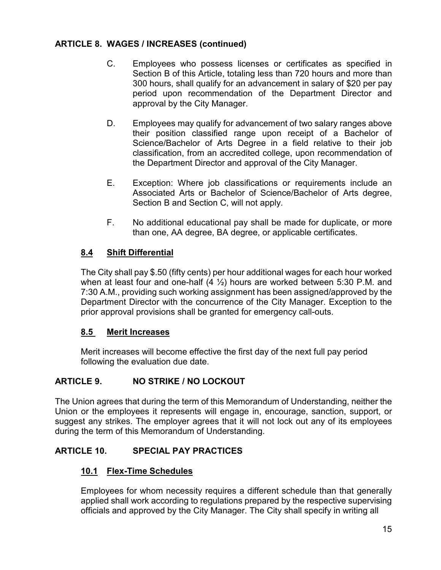## **ARTICLE 8. WAGES / INCREASES (continued)**

- C. Employees who possess licenses or certificates as specified in Section B of this Article, totaling less than 720 hours and more than 300 hours, shall qualify for an advancement in salary of \$20 per pay period upon recommendation of the Department Director and approval by the City Manager.
- D. Employees may qualify for advancement of two salary ranges above their position classified range upon receipt of a Bachelor of Science/Bachelor of Arts Degree in a field relative to their job classification, from an accredited college, upon recommendation of the Department Director and approval of the City Manager.
- E. Exception: Where job classifications or requirements include an Associated Arts or Bachelor of Science/Bachelor of Arts degree, Section B and Section C, will not apply.
- F. No additional educational pay shall be made for duplicate, or more than one, AA degree, BA degree, or applicable certificates.

## **8.4 Shift Differential**

The City shall pay \$.50 (fifty cents) per hour additional wages for each hour worked when at least four and one-half  $(4 \frac{1}{2})$  hours are worked between 5:30 P.M. and 7:30 A.M., providing such working assignment has been assigned/approved by the Department Director with the concurrence of the City Manager. Exception to the prior approval provisions shall be granted for emergency call-outs.

### **8.5 Merit Increases**

Merit increases will become effective the first day of the next full pay period following the evaluation due date.

## **ARTICLE 9. NO STRIKE / NO LOCKOUT**

The Union agrees that during the term of this Memorandum of Understanding, neither the Union or the employees it represents will engage in, encourage, sanction, support, or suggest any strikes. The employer agrees that it will not lock out any of its employees during the term of this Memorandum of Understanding.

## **ARTICLE 10. SPECIAL PAY PRACTICES**

### **10.1 Flex-Time Schedules**

Employees for whom necessity requires a different schedule than that generally applied shall work according to regulations prepared by the respective supervising officials and approved by the City Manager. The City shall specify in writing all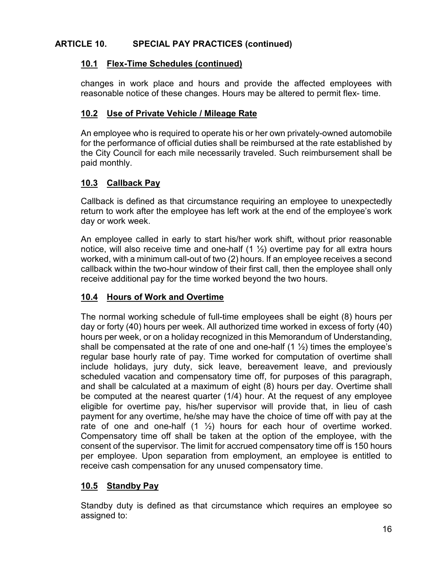## **ARTICLE 10. SPECIAL PAY PRACTICES (continued)**

## **10.1 Flex-Time Schedules (continued)**

changes in work place and hours and provide the affected employees with reasonable notice of these changes. Hours may be altered to permit flex- time.

## **10.2 Use of Private Vehicle / Mileage Rate**

An employee who is required to operate his or her own privately-owned automobile for the performance of official duties shall be reimbursed at the rate established by the City Council for each mile necessarily traveled. Such reimbursement shall be paid monthly.

## **10.3 Callback Pay**

Callback is defined as that circumstance requiring an employee to unexpectedly return to work after the employee has left work at the end of the employee's work day or work week.

An employee called in early to start his/her work shift, without prior reasonable notice, will also receive time and one-half  $(1 \frac{1}{2})$  overtime pay for all extra hours worked, with a minimum call-out of two (2) hours. If an employee receives a second callback within the two-hour window of their first call, then the employee shall only receive additional pay for the time worked beyond the two hours.

## **10.4 Hours of Work and Overtime**

The normal working schedule of full-time employees shall be eight (8) hours per day or forty (40) hours per week. All authorized time worked in excess of forty (40) hours per week, or on a holiday recognized in this Memorandum of Understanding, shall be compensated at the rate of one and one-half  $(1 \frac{1}{2})$  times the employee's regular base hourly rate of pay. Time worked for computation of overtime shall include holidays, jury duty, sick leave, bereavement leave, and previously scheduled vacation and compensatory time off, for purposes of this paragraph, and shall be calculated at a maximum of eight (8) hours per day. Overtime shall be computed at the nearest quarter (1/4) hour. At the request of any employee eligible for overtime pay, his/her supervisor will provide that, in lieu of cash payment for any overtime, he/she may have the choice of time off with pay at the rate of one and one-half  $(1 \frac{1}{2})$  hours for each hour of overtime worked. Compensatory time off shall be taken at the option of the employee, with the consent of the supervisor. The limit for accrued compensatory time off is 150 hours per employee. Upon separation from employment, an employee is entitled to receive cash compensation for any unused compensatory time.

## **10.5 Standby Pay**

Standby duty is defined as that circumstance which requires an employee so assigned to: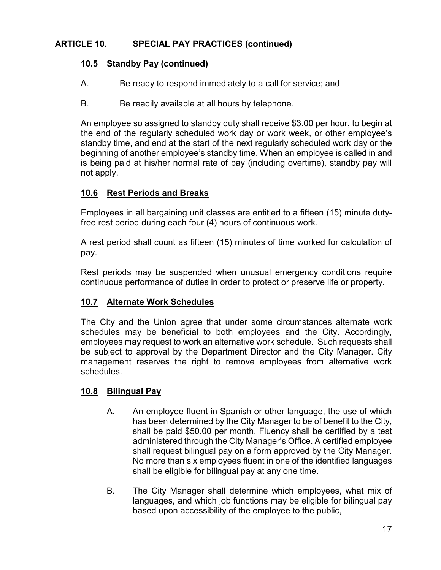## **ARTICLE 10. SPECIAL PAY PRACTICES (continued)**

### **10.5 Standby Pay (continued)**

- A. Be ready to respond immediately to a call for service; and
- B. Be readily available at all hours by telephone.

An employee so assigned to standby duty shall receive \$3.00 per hour, to begin at the end of the regularly scheduled work day or work week, or other employee's standby time, and end at the start of the next regularly scheduled work day or the beginning of another employee's standby time. When an employee is called in and is being paid at his/her normal rate of pay (including overtime), standby pay will not apply.

## **10.6 Rest Periods and Breaks**

Employees in all bargaining unit classes are entitled to a fifteen (15) minute dutyfree rest period during each four (4) hours of continuous work.

A rest period shall count as fifteen (15) minutes of time worked for calculation of pay.

Rest periods may be suspended when unusual emergency conditions require continuous performance of duties in order to protect or preserve life or property.

## **10.7 Alternate Work Schedules**

The City and the Union agree that under some circumstances alternate work schedules may be beneficial to both employees and the City. Accordingly, employees may request to work an alternative work schedule. Such requests shall be subject to approval by the Department Director and the City Manager. City management reserves the right to remove employees from alternative work schedules.

### **10.8 Bilingual Pay**

- A. An employee fluent in Spanish or other language, the use of which has been determined by the City Manager to be of benefit to the City, shall be paid \$50.00 per month. Fluency shall be certified by a test administered through the City Manager's Office. A certified employee shall request bilingual pay on a form approved by the City Manager. No more than six employees fluent in one of the identified languages shall be eligible for bilingual pay at any one time.
- B. The City Manager shall determine which employees, what mix of languages, and which job functions may be eligible for bilingual pay based upon accessibility of the employee to the public,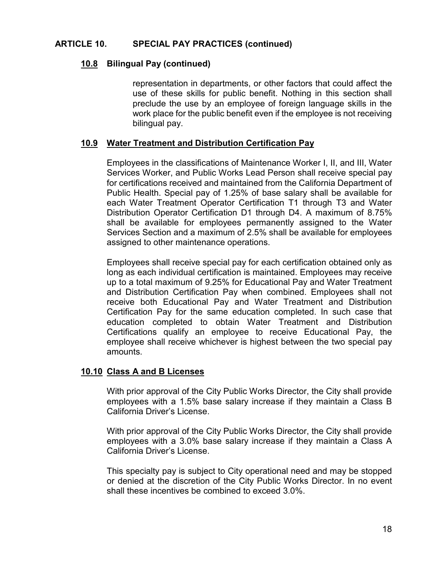#### **ARTICLE 10. SPECIAL PAY PRACTICES (continued)**

#### **10.8 Bilingual Pay (continued)**

representation in departments, or other factors that could affect the use of these skills for public benefit. Nothing in this section shall preclude the use by an employee of foreign language skills in the work place for the public benefit even if the employee is not receiving bilingual pay.

#### **10.9 Water Treatment and Distribution Certification Pay**

Employees in the classifications of Maintenance Worker I, II, and III, Water Services Worker, and Public Works Lead Person shall receive special pay for certifications received and maintained from the California Department of Public Health. Special pay of 1.25% of base salary shall be available for each Water Treatment Operator Certification T1 through T3 and Water Distribution Operator Certification D1 through D4. A maximum of 8.75% shall be available for employees permanently assigned to the Water Services Section and a maximum of 2.5% shall be available for employees assigned to other maintenance operations.

Employees shall receive special pay for each certification obtained only as long as each individual certification is maintained. Employees may receive up to a total maximum of 9.25% for Educational Pay and Water Treatment and Distribution Certification Pay when combined. Employees shall not receive both Educational Pay and Water Treatment and Distribution Certification Pay for the same education completed. In such case that education completed to obtain Water Treatment and Distribution Certifications qualify an employee to receive Educational Pay, the employee shall receive whichever is highest between the two special pay amounts.

#### **10.10 Class A and B Licenses**

With prior approval of the City Public Works Director, the City shall provide employees with a 1.5% base salary increase if they maintain a Class B California Driver's License.

With prior approval of the City Public Works Director, the City shall provide employees with a 3.0% base salary increase if they maintain a Class A California Driver's License.

This specialty pay is subject to City operational need and may be stopped or denied at the discretion of the City Public Works Director. In no event shall these incentives be combined to exceed 3.0%.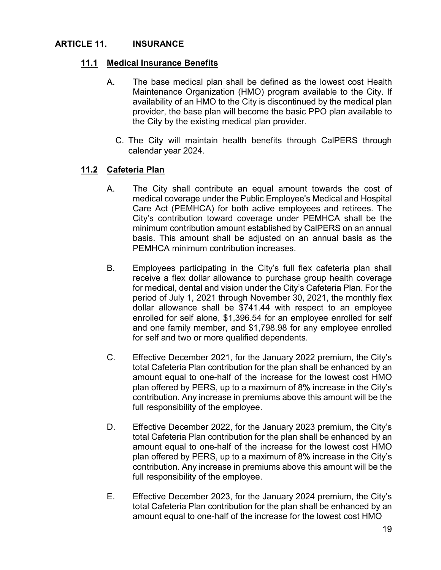### **ARTICLE 11. INSURANCE**

### **11.1 Medical Insurance Benefits**

- A. The base medical plan shall be defined as the lowest cost Health Maintenance Organization (HMO) program available to the City. If availability of an HMO to the City is discontinued by the medical plan provider, the base plan will become the basic PPO plan available to the City by the existing medical plan provider.
	- C. The City will maintain health benefits through CalPERS through calendar year 2024.

### **11.2 Cafeteria Plan**

- A. The City shall contribute an equal amount towards the cost of medical coverage under the Public Employee's Medical and Hospital Care Act (PEMHCA) for both active employees and retirees. The City's contribution toward coverage under PEMHCA shall be the minimum contribution amount established by CalPERS on an annual basis. This amount shall be adjusted on an annual basis as the PEMHCA minimum contribution increases.
- B. Employees participating in the City's full flex cafeteria plan shall receive a flex dollar allowance to purchase group health coverage for medical, dental and vision under the City's Cafeteria Plan. For the period of July 1, 2021 through November 30, 2021, the monthly flex dollar allowance shall be \$741.44 with respect to an employee enrolled for self alone, \$1,396.54 for an employee enrolled for self and one family member, and \$1,798.98 for any employee enrolled for self and two or more qualified dependents.
- C. Effective December 2021, for the January 2022 premium, the City's total Cafeteria Plan contribution for the plan shall be enhanced by an amount equal to one-half of the increase for the lowest cost HMO plan offered by PERS, up to a maximum of 8% increase in the City's contribution. Any increase in premiums above this amount will be the full responsibility of the employee.
- D. Effective December 2022, for the January 2023 premium, the City's total Cafeteria Plan contribution for the plan shall be enhanced by an amount equal to one-half of the increase for the lowest cost HMO plan offered by PERS, up to a maximum of 8% increase in the City's contribution. Any increase in premiums above this amount will be the full responsibility of the employee.
- E. Effective December 2023, for the January 2024 premium, the City's total Cafeteria Plan contribution for the plan shall be enhanced by an amount equal to one-half of the increase for the lowest cost HMO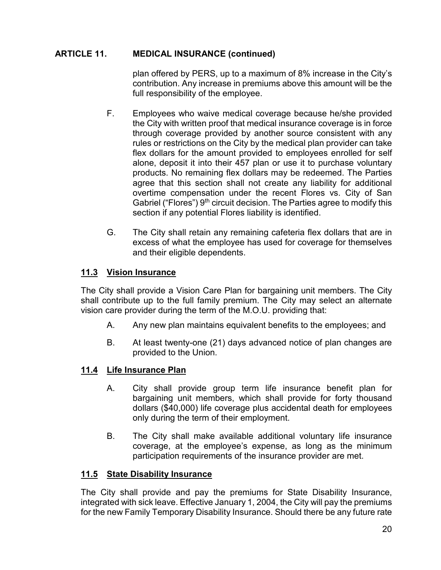## **ARTICLE 11. MEDICAL INSURANCE (continued)**

plan offered by PERS, up to a maximum of 8% increase in the City's contribution. Any increase in premiums above this amount will be the full responsibility of the employee.

- F. Employees who waive medical coverage because he/she provided the City with written proof that medical insurance coverage is in force through coverage provided by another source consistent with any rules or restrictions on the City by the medical plan provider can take flex dollars for the amount provided to employees enrolled for self alone, deposit it into their 457 plan or use it to purchase voluntary products. No remaining flex dollars may be redeemed. The Parties agree that this section shall not create any liability for additional overtime compensation under the recent Flores vs. City of San Gabriel ("Flores") 9<sup>th</sup> circuit decision. The Parties agree to modify this section if any potential Flores liability is identified.
- G. The City shall retain any remaining cafeteria flex dollars that are in excess of what the employee has used for coverage for themselves and their eligible dependents.

## **11.3 Vision Insurance**

The City shall provide a Vision Care Plan for bargaining unit members. The City shall contribute up to the full family premium. The City may select an alternate vision care provider during the term of the M.O.U. providing that:

- A. Any new plan maintains equivalent benefits to the employees; and
- B. At least twenty-one (21) days advanced notice of plan changes are provided to the Union.

### **11.4 Life Insurance Plan**

- A. City shall provide group term life insurance benefit plan for bargaining unit members, which shall provide for forty thousand dollars (\$40,000) life coverage plus accidental death for employees only during the term of their employment.
- B. The City shall make available additional voluntary life insurance coverage, at the employee's expense, as long as the minimum participation requirements of the insurance provider are met.

### **11.5 State Disability Insurance**

The City shall provide and pay the premiums for State Disability Insurance, integrated with sick leave. Effective January 1, 2004, the City will pay the premiums for the new Family Temporary Disability Insurance. Should there be any future rate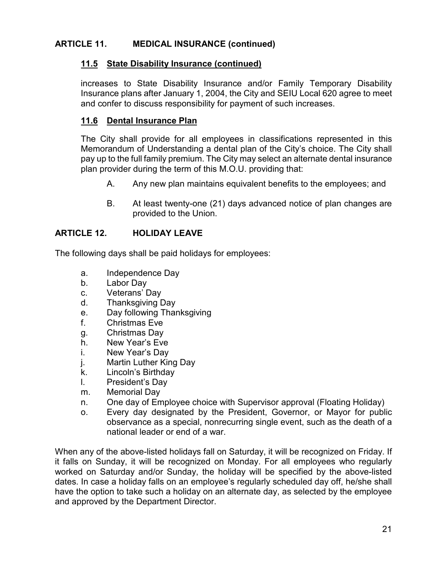## **ARTICLE 11. MEDICAL INSURANCE (continued)**

### **11.5 State Disability Insurance (continued)**

increases to State Disability Insurance and/or Family Temporary Disability Insurance plans after January 1, 2004, the City and SEIU Local 620 agree to meet and confer to discuss responsibility for payment of such increases.

#### **11.6 Dental Insurance Plan**

The City shall provide for all employees in classifications represented in this Memorandum of Understanding a dental plan of the City's choice. The City shall pay up to the full family premium. The City may select an alternate dental insurance plan provider during the term of this M.O.U. providing that:

- A. Any new plan maintains equivalent benefits to the employees; and
- B. At least twenty-one (21) days advanced notice of plan changes are provided to the Union.

#### **ARTICLE 12. HOLIDAY LEAVE**

The following days shall be paid holidays for employees:

- a. Independence Day
- b. Labor Day
- c. Veterans' Day
- d. Thanksgiving Day
- e. Day following Thanksgiving
- f. Christmas Eve
- g. Christmas Day
- h. New Year's Eve
- i. New Year's Day
- j. Martin Luther King Day
- k. Lincoln's Birthday
- l. President's Day
- m. Memorial Day
- n. One day of Employee choice with Supervisor approval (Floating Holiday)
- o. Every day designated by the President, Governor, or Mayor for public observance as a special, nonrecurring single event, such as the death of a national leader or end of a war.

When any of the above-listed holidays fall on Saturday, it will be recognized on Friday. If it falls on Sunday, it will be recognized on Monday. For all employees who regularly worked on Saturday and/or Sunday, the holiday will be specified by the above-listed dates. In case a holiday falls on an employee's regularly scheduled day off, he/she shall have the option to take such a holiday on an alternate day, as selected by the employee and approved by the Department Director.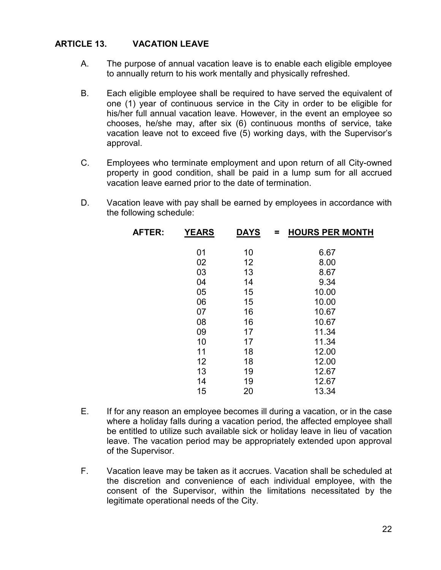#### **ARTICLE 13. VACATION LEAVE**

- A. The purpose of annual vacation leave is to enable each eligible employee to annually return to his work mentally and physically refreshed.
- B. Each eligible employee shall be required to have served the equivalent of one (1) year of continuous service in the City in order to be eligible for his/her full annual vacation leave. However, in the event an employee so chooses, he/she may, after six (6) continuous months of service, take vacation leave not to exceed five (5) working days, with the Supervisor's approval.
- C. Employees who terminate employment and upon return of all City-owned property in good condition, shall be paid in a lump sum for all accrued vacation leave earned prior to the date of termination.
- D. Vacation leave with pay shall be earned by employees in accordance with the following schedule:

| AFTER: | <b>YEARS</b> | <b>DAYS</b> | <b>HOURS PER MONTH</b><br>= |
|--------|--------------|-------------|-----------------------------|
|        |              |             |                             |
|        | 01           | 10          | 6.67                        |
|        | 02           | 12          | 8.00                        |
|        | 03           | 13          | 8.67                        |
|        | 04           | 14          | 9.34                        |
|        | 05           | 15          | 10.00                       |
|        | 06           | 15          | 10.00                       |
|        | 07           | 16          | 10.67                       |
|        | 08           | 16          | 10.67                       |
|        | 09           | 17          | 11.34                       |
|        | 10           | 17          | 11.34                       |
|        | 11           | 18          | 12.00                       |
|        | 12           | 18          | 12.00                       |
|        | 13           | 19          | 12.67                       |
|        | 14           | 19          | 12.67                       |
|        | 15           | 20          | 13.34                       |
|        |              |             |                             |

- E. If for any reason an employee becomes ill during a vacation, or in the case where a holiday falls during a vacation period, the affected employee shall be entitled to utilize such available sick or holiday leave in lieu of vacation leave. The vacation period may be appropriately extended upon approval of the Supervisor.
- F. Vacation leave may be taken as it accrues. Vacation shall be scheduled at the discretion and convenience of each individual employee, with the consent of the Supervisor, within the limitations necessitated by the legitimate operational needs of the City.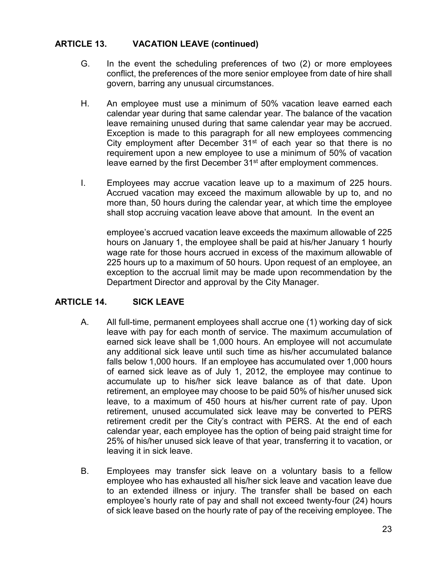#### **ARTICLE 13. VACATION LEAVE (continued)**

- G. In the event the scheduling preferences of two (2) or more employees conflict, the preferences of the more senior employee from date of hire shall govern, barring any unusual circumstances.
- H. An employee must use a minimum of 50% vacation leave earned each calendar year during that same calendar year. The balance of the vacation leave remaining unused during that same calendar year may be accrued. Exception is made to this paragraph for all new employees commencing City employment after December  $31<sup>st</sup>$  of each year so that there is no requirement upon a new employee to use a minimum of 50% of vacation leave earned by the first December 31<sup>st</sup> after employment commences.
- I. Employees may accrue vacation leave up to a maximum of 225 hours. Accrued vacation may exceed the maximum allowable by up to, and no more than, 50 hours during the calendar year, at which time the employee shall stop accruing vacation leave above that amount. In the event an

employee's accrued vacation leave exceeds the maximum allowable of 225 hours on January 1, the employee shall be paid at his/her January 1 hourly wage rate for those hours accrued in excess of the maximum allowable of 225 hours up to a maximum of 50 hours. Upon request of an employee, an exception to the accrual limit may be made upon recommendation by the Department Director and approval by the City Manager.

### **ARTICLE 14. SICK LEAVE**

- A. All full-time, permanent employees shall accrue one (1) working day of sick leave with pay for each month of service. The maximum accumulation of earned sick leave shall be 1,000 hours. An employee will not accumulate any additional sick leave until such time as his/her accumulated balance falls below 1,000 hours. If an employee has accumulated over 1,000 hours of earned sick leave as of July 1, 2012, the employee may continue to accumulate up to his/her sick leave balance as of that date. Upon retirement, an employee may choose to be paid 50% of his/her unused sick leave, to a maximum of 450 hours at his/her current rate of pay. Upon retirement, unused accumulated sick leave may be converted to PERS retirement credit per the City's contract with PERS. At the end of each calendar year, each employee has the option of being paid straight time for 25% of his/her unused sick leave of that year, transferring it to vacation, or leaving it in sick leave.
- B. Employees may transfer sick leave on a voluntary basis to a fellow employee who has exhausted all his/her sick leave and vacation leave due to an extended illness or injury. The transfer shall be based on each employee's hourly rate of pay and shall not exceed twenty-four (24) hours of sick leave based on the hourly rate of pay of the receiving employee. The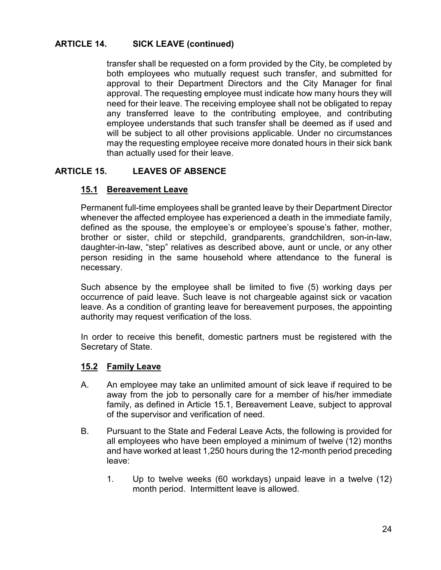## **ARTICLE 14. SICK LEAVE (continued)**

transfer shall be requested on a form provided by the City, be completed by both employees who mutually request such transfer, and submitted for approval to their Department Directors and the City Manager for final approval. The requesting employee must indicate how many hours they will need for their leave. The receiving employee shall not be obligated to repay any transferred leave to the contributing employee, and contributing employee understands that such transfer shall be deemed as if used and will be subject to all other provisions applicable. Under no circumstances may the requesting employee receive more donated hours in their sick bank than actually used for their leave.

## **ARTICLE 15. LEAVES OF ABSENCE**

### **15.1 Bereavement Leave**

Permanent full-time employees shall be granted leave by their Department Director whenever the affected employee has experienced a death in the immediate family, defined as the spouse, the employee's or employee's spouse's father, mother, brother or sister, child or stepchild, grandparents, grandchildren, son-in-law, daughter-in-law, "step" relatives as described above, aunt or uncle, or any other person residing in the same household where attendance to the funeral is necessary.

Such absence by the employee shall be limited to five (5) working days per occurrence of paid leave. Such leave is not chargeable against sick or vacation leave. As a condition of granting leave for bereavement purposes, the appointing authority may request verification of the loss.

In order to receive this benefit, domestic partners must be registered with the Secretary of State.

### **15.2 Family Leave**

- A. An employee may take an unlimited amount of sick leave if required to be away from the job to personally care for a member of his/her immediate family, as defined in Article 15.1, Bereavement Leave, subject to approval of the supervisor and verification of need.
- B. Pursuant to the State and Federal Leave Acts, the following is provided for all employees who have been employed a minimum of twelve (12) months and have worked at least 1,250 hours during the 12-month period preceding leave:
	- 1. Up to twelve weeks (60 workdays) unpaid leave in a twelve (12) month period. Intermittent leave is allowed.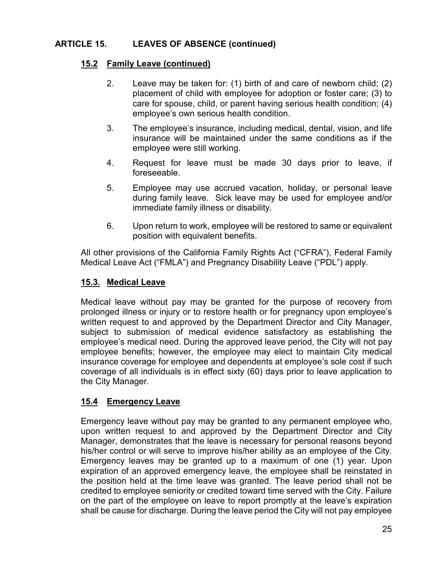## **ARTICLE 15. LEAVES OF ABSENCE (continued)**

### **15.2 Family Leave (continued)**

- 2. Leave may be taken for: (1) birth of and care of newborn child; (2) placement of child with employee for adoption or foster care; (3) to care for spouse, child, or parent having serious health condition; (4) employee's own serious health condition.
- 3. The employee's insurance, including medical, dental, vision, and life insurance will be maintained under the same conditions as if the employee were still working.
- 4. Request for leave must be made 30 days prior to leave, if foreseeable.
- 5. Employee may use accrued vacation, holiday, or personal leave during family leave. Sick leave may be used for employee and/or immediate family illness or disability.
- 6. Upon return to work, employee will be restored to same or equivalent position with equivalent benefits.

All other provisions of the California Family Rights Act ("CFRA"), Federal Family Medical Leave Act ("FMLA") and Pregnancy Disability Leave ("PDL") apply.

### **15.3. Medical Leave**

Medical leave without pay may be granted for the purpose of recovery from prolonged illness or injury or to restore health or for pregnancy upon employee's written request to and approved by the Department Director and City Manager, subject to submission of medical evidence satisfactory as establishing the employee's medical need. During the approved leave period, the City will not pay employee benefits; however, the employee may elect to maintain City medical insurance coverage for employee and dependents at employee's sole cost if such coverage of all individuals is in effect sixty (60) days prior to leave application to the City Manager.

### **15.4 Emergency Leave**

Emergency leave without pay may be granted to any permanent employee who, upon written request to and approved by the Department Director and City Manager, demonstrates that the leave is necessary for personal reasons beyond his/her control or will serve to improve his/her ability as an employee of the City. Emergency leaves may be granted up to a maximum of one (1) year. Upon expiration of an approved emergency leave, the employee shall be reinstated in the position held at the time leave was granted. The leave period shall not be credited to employee seniority or credited toward time served with the City. Failure on the part of the employee on leave to report promptly at the leave's expiration shall be cause for discharge. During the leave period the City will not pay employee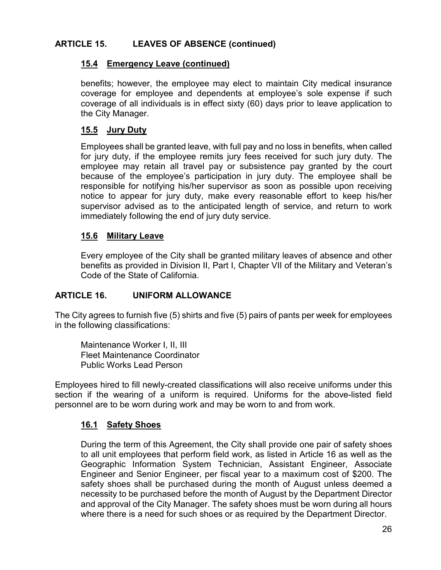## **ARTICLE 15. LEAVES OF ABSENCE (continued)**

#### **15.4 Emergency Leave (continued)**

benefits; however, the employee may elect to maintain City medical insurance coverage for employee and dependents at employee's sole expense if such coverage of all individuals is in effect sixty (60) days prior to leave application to the City Manager.

#### **15.5 Jury Duty**

Employees shall be granted leave, with full pay and no loss in benefits, when called for jury duty, if the employee remits jury fees received for such jury duty. The employee may retain all travel pay or subsistence pay granted by the court because of the employee's participation in jury duty. The employee shall be responsible for notifying his/her supervisor as soon as possible upon receiving notice to appear for jury duty, make every reasonable effort to keep his/her supervisor advised as to the anticipated length of service, and return to work immediately following the end of jury duty service.

#### **15.6 Military Leave**

Every employee of the City shall be granted military leaves of absence and other benefits as provided in Division II, Part I, Chapter VII of the Military and Veteran's Code of the State of California.

#### **ARTICLE 16. UNIFORM ALLOWANCE**

The City agrees to furnish five (5) shirts and five (5) pairs of pants per week for employees in the following classifications:

Maintenance Worker I, II, III Fleet Maintenance Coordinator Public Works Lead Person

Employees hired to fill newly-created classifications will also receive uniforms under this section if the wearing of a uniform is required. Uniforms for the above-listed field personnel are to be worn during work and may be worn to and from work.

#### **16.1 Safety Shoes**

During the term of this Agreement, the City shall provide one pair of safety shoes to all unit employees that perform field work, as listed in Article 16 as well as the Geographic Information System Technician, Assistant Engineer, Associate Engineer and Senior Engineer, per fiscal year to a maximum cost of \$200. The safety shoes shall be purchased during the month of August unless deemed a necessity to be purchased before the month of August by the Department Director and approval of the City Manager. The safety shoes must be worn during all hours where there is a need for such shoes or as required by the Department Director.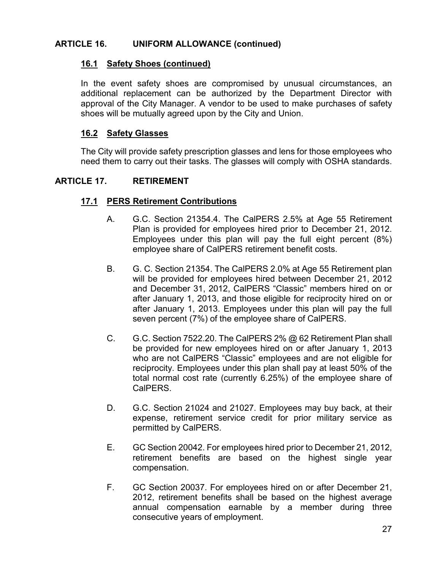### **ARTICLE 16. UNIFORM ALLOWANCE (continued)**

#### **16.1 Safety Shoes (continued)**

In the event safety shoes are compromised by unusual circumstances, an additional replacement can be authorized by the Department Director with approval of the City Manager. A vendor to be used to make purchases of safety shoes will be mutually agreed upon by the City and Union.

#### **16.2 Safety Glasses**

The City will provide safety prescription glasses and lens for those employees who need them to carry out their tasks. The glasses will comply with OSHA standards.

#### **ARTICLE 17. RETIREMENT**

#### **17.1 PERS Retirement Contributions**

- A. G.C. Section 21354.4. The CalPERS 2.5% at Age 55 Retirement Plan is provided for employees hired prior to December 21, 2012. Employees under this plan will pay the full eight percent (8%) employee share of CalPERS retirement benefit costs.
- B. G. C. Section 21354. The CalPERS 2.0% at Age 55 Retirement plan will be provided for employees hired between December 21, 2012 and December 31, 2012, CalPERS "Classic" members hired on or after January 1, 2013, and those eligible for reciprocity hired on or after January 1, 2013. Employees under this plan will pay the full seven percent (7%) of the employee share of CalPERS.
- C. G.C. Section 7522.20. The CalPERS 2% @ 62 Retirement Plan shall be provided for new employees hired on or after January 1, 2013 who are not CalPERS "Classic" employees and are not eligible for reciprocity. Employees under this plan shall pay at least 50% of the total normal cost rate (currently 6.25%) of the employee share of CalPERS.
- D. G.C. Section 21024 and 21027. Employees may buy back, at their expense, retirement service credit for prior military service as permitted by CalPERS.
- E. GC Section 20042. For employees hired prior to December 21, 2012, retirement benefits are based on the highest single year compensation.
- F. GC Section 20037. For employees hired on or after December 21, 2012, retirement benefits shall be based on the highest average annual compensation earnable by a member during three consecutive years of employment.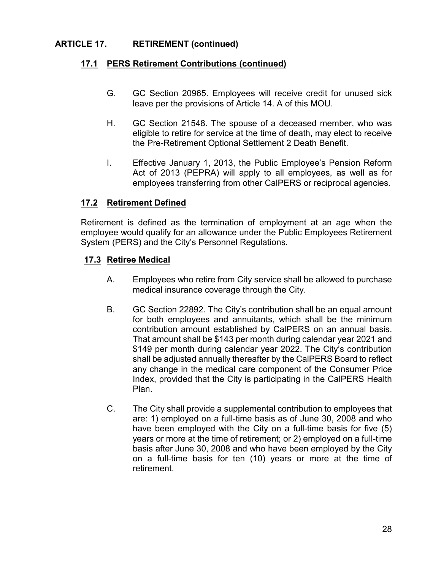## **ARTICLE 17. RETIREMENT (continued)**

#### **17.1 PERS Retirement Contributions (continued)**

- G. GC Section 20965. Employees will receive credit for unused sick leave per the provisions of Article 14. A of this MOU.
- H. GC Section 21548. The spouse of a deceased member, who was eligible to retire for service at the time of death, may elect to receive the Pre-Retirement Optional Settlement 2 Death Benefit.
- I. Effective January 1, 2013, the Public Employee's Pension Reform Act of 2013 (PEPRA) will apply to all employees, as well as for employees transferring from other CalPERS or reciprocal agencies.

#### **17.2 Retirement Defined**

Retirement is defined as the termination of employment at an age when the employee would qualify for an allowance under the Public Employees Retirement System (PERS) and the City's Personnel Regulations.

#### **17.3 Retiree Medical**

- A. Employees who retire from City service shall be allowed to purchase medical insurance coverage through the City.
- B. GC Section 22892. The City's contribution shall be an equal amount for both employees and annuitants, which shall be the minimum contribution amount established by CalPERS on an annual basis. That amount shall be \$143 per month during calendar year 2021 and \$149 per month during calendar year 2022. The City's contribution shall be adjusted annually thereafter by the CalPERS Board to reflect any change in the medical care component of the Consumer Price Index, provided that the City is participating in the CalPERS Health Plan.
- C. The City shall provide a supplemental contribution to employees that are: 1) employed on a full-time basis as of June 30, 2008 and who have been employed with the City on a full-time basis for five (5) years or more at the time of retirement; or 2) employed on a full-time basis after June 30, 2008 and who have been employed by the City on a full-time basis for ten (10) years or more at the time of retirement.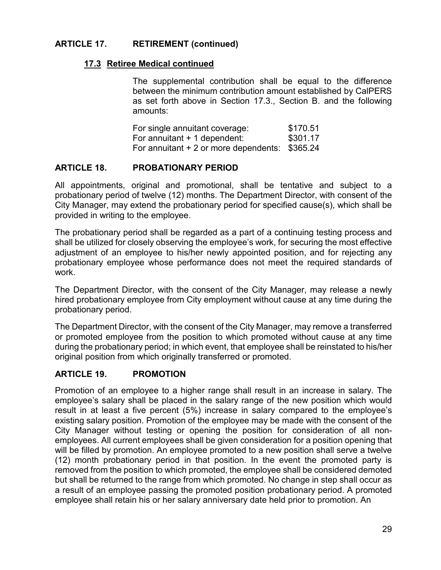## **ARTICLE 17. RETIREMENT (continued)**

#### **17.3 Retiree Medical continued**

The supplemental contribution shall be equal to the difference between the minimum contribution amount established by CalPERS as set forth above in Section 17.3., Section B. and the following amounts:

| For single annuitant coverage:                 | \$170.51 |
|------------------------------------------------|----------|
| For annuitant + 1 dependent:                   | \$301.17 |
| For annuitant + 2 or more dependents: \$365.24 |          |

#### **ARTICLE 18. PROBATIONARY PERIOD**

All appointments, original and promotional, shall be tentative and subject to a probationary period of twelve (12) months. The Department Director, with consent of the City Manager, may extend the probationary period for specified cause(s), which shall be provided in writing to the employee.

The probationary period shall be regarded as a part of a continuing testing process and shall be utilized for closely observing the employee's work, for securing the most effective adjustment of an employee to his/her newly appointed position, and for rejecting any probationary employee whose performance does not meet the required standards of work.

The Department Director, with the consent of the City Manager, may release a newly hired probationary employee from City employment without cause at any time during the probationary period.

The Department Director, with the consent of the City Manager, may remove a transferred or promoted employee from the position to which promoted without cause at any time during the probationary period; in which event, that employee shall be reinstated to his/her original position from which originally transferred or promoted.

### **ARTICLE 19. PROMOTION**

Promotion of an employee to a higher range shall result in an increase in salary. The employee's salary shall be placed in the salary range of the new position which would result in at least a five percent (5%) increase in salary compared to the employee's existing salary position. Promotion of the employee may be made with the consent of the City Manager without testing or opening the position for consideration of all nonemployees. All current employees shall be given consideration for a position opening that will be filled by promotion. An employee promoted to a new position shall serve a twelve (12) month probationary period in that position. In the event the promoted party is removed from the position to which promoted, the employee shall be considered demoted but shall be returned to the range from which promoted. No change in step shall occur as a result of an employee passing the promoted position probationary period. A promoted employee shall retain his or her salary anniversary date held prior to promotion. An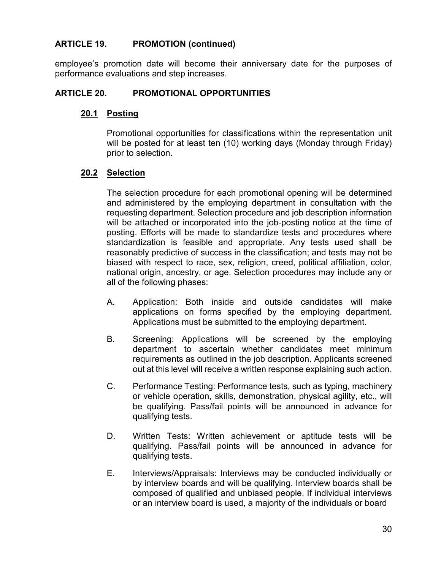#### **ARTICLE 19. PROMOTION (continued)**

employee's promotion date will become their anniversary date for the purposes of performance evaluations and step increases.

#### **ARTICLE 20. PROMOTIONAL OPPORTUNITIES**

#### **20.1 Posting**

Promotional opportunities for classifications within the representation unit will be posted for at least ten (10) working days (Monday through Friday) prior to selection.

#### **20.2 Selection**

The selection procedure for each promotional opening will be determined and administered by the employing department in consultation with the requesting department. Selection procedure and job description information will be attached or incorporated into the job-posting notice at the time of posting. Efforts will be made to standardize tests and procedures where standardization is feasible and appropriate. Any tests used shall be reasonably predictive of success in the classification; and tests may not be biased with respect to race, sex, religion, creed, political affiliation, color, national origin, ancestry, or age. Selection procedures may include any or all of the following phases:

- A. Application: Both inside and outside candidates will make applications on forms specified by the employing department. Applications must be submitted to the employing department.
- B. Screening: Applications will be screened by the employing department to ascertain whether candidates meet minimum requirements as outlined in the job description. Applicants screened out at this level will receive a written response explaining such action.
- C. Performance Testing: Performance tests, such as typing, machinery or vehicle operation, skills, demonstration, physical agility, etc., will be qualifying. Pass/fail points will be announced in advance for qualifying tests.
- D. Written Tests: Written achievement or aptitude tests will be qualifying. Pass/fail points will be announced in advance for qualifying tests.
- E. Interviews/Appraisals: Interviews may be conducted individually or by interview boards and will be qualifying. Interview boards shall be composed of qualified and unbiased people. If individual interviews or an interview board is used, a majority of the individuals or board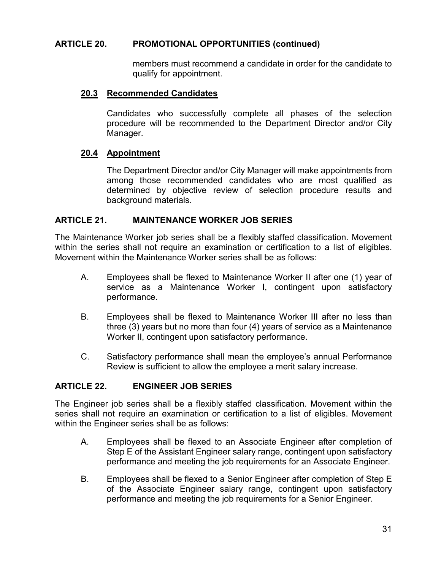#### **ARTICLE 20. PROMOTIONAL OPPORTUNITIES (continued)**

members must recommend a candidate in order for the candidate to qualify for appointment.

#### **20.3 Recommended Candidates**

Candidates who successfully complete all phases of the selection procedure will be recommended to the Department Director and/or City Manager.

#### **20.4 Appointment**

The Department Director and/or City Manager will make appointments from among those recommended candidates who are most qualified as determined by objective review of selection procedure results and background materials.

#### **ARTICLE 21. MAINTENANCE WORKER JOB SERIES**

The Maintenance Worker job series shall be a flexibly staffed classification. Movement within the series shall not require an examination or certification to a list of eligibles. Movement within the Maintenance Worker series shall be as follows:

- A. Employees shall be flexed to Maintenance Worker II after one (1) year of service as a Maintenance Worker I, contingent upon satisfactory performance.
- B. Employees shall be flexed to Maintenance Worker III after no less than three (3) years but no more than four (4) years of service as a Maintenance Worker II, contingent upon satisfactory performance.
- C. Satisfactory performance shall mean the employee's annual Performance Review is sufficient to allow the employee a merit salary increase.

#### **ARTICLE 22. ENGINEER JOB SERIES**

The Engineer job series shall be a flexibly staffed classification. Movement within the series shall not require an examination or certification to a list of eligibles. Movement within the Engineer series shall be as follows:

- A. Employees shall be flexed to an Associate Engineer after completion of Step E of the Assistant Engineer salary range, contingent upon satisfactory performance and meeting the job requirements for an Associate Engineer.
- B. Employees shall be flexed to a Senior Engineer after completion of Step E of the Associate Engineer salary range, contingent upon satisfactory performance and meeting the job requirements for a Senior Engineer.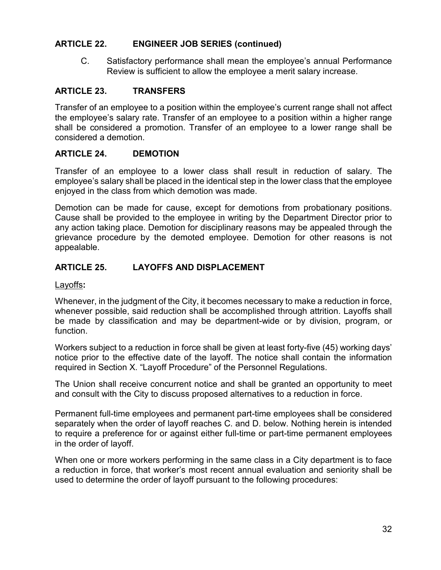#### **ARTICLE 22. ENGINEER JOB SERIES (continued)**

C. Satisfactory performance shall mean the employee's annual Performance Review is sufficient to allow the employee a merit salary increase.

#### **ARTICLE 23. TRANSFERS**

Transfer of an employee to a position within the employee's current range shall not affect the employee's salary rate. Transfer of an employee to a position within a higher range shall be considered a promotion. Transfer of an employee to a lower range shall be considered a demotion.

#### **ARTICLE 24. DEMOTION**

Transfer of an employee to a lower class shall result in reduction of salary. The employee's salary shall be placed in the identical step in the lower class that the employee enjoyed in the class from which demotion was made.

Demotion can be made for cause, except for demotions from probationary positions. Cause shall be provided to the employee in writing by the Department Director prior to any action taking place. Demotion for disciplinary reasons may be appealed through the grievance procedure by the demoted employee. Demotion for other reasons is not appealable.

### **ARTICLE 25. LAYOFFS AND DISPLACEMENT**

#### Layoffs**:**

Whenever, in the judgment of the City, it becomes necessary to make a reduction in force, whenever possible, said reduction shall be accomplished through attrition. Layoffs shall be made by classification and may be department-wide or by division, program, or function.

Workers subject to a reduction in force shall be given at least forty-five (45) working days' notice prior to the effective date of the layoff. The notice shall contain the information required in Section X. "Layoff Procedure" of the Personnel Regulations.

The Union shall receive concurrent notice and shall be granted an opportunity to meet and consult with the City to discuss proposed alternatives to a reduction in force.

Permanent full-time employees and permanent part-time employees shall be considered separately when the order of layoff reaches C. and D. below. Nothing herein is intended to require a preference for or against either full-time or part-time permanent employees in the order of layoff.

When one or more workers performing in the same class in a City department is to face a reduction in force, that worker's most recent annual evaluation and seniority shall be used to determine the order of layoff pursuant to the following procedures: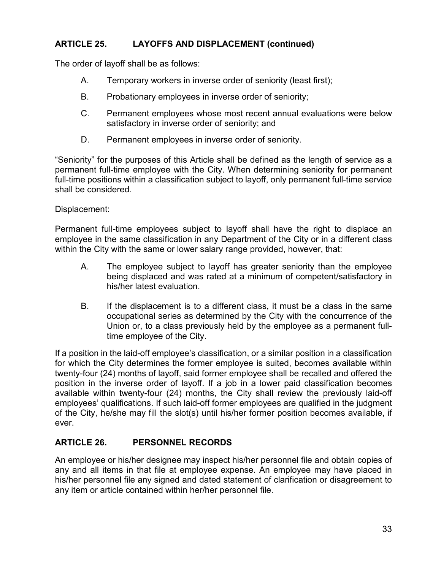## **ARTICLE 25. LAYOFFS AND DISPLACEMENT (continued)**

The order of layoff shall be as follows:

- A. Temporary workers in inverse order of seniority (least first);
- B. Probationary employees in inverse order of seniority;
- C. Permanent employees whose most recent annual evaluations were below satisfactory in inverse order of seniority; and
- D. Permanent employees in inverse order of seniority.

"Seniority" for the purposes of this Article shall be defined as the length of service as a permanent full-time employee with the City. When determining seniority for permanent full-time positions within a classification subject to layoff, only permanent full-time service shall be considered.

#### Displacement:

Permanent full-time employees subject to layoff shall have the right to displace an employee in the same classification in any Department of the City or in a different class within the City with the same or lower salary range provided, however, that:

- A. The employee subject to layoff has greater seniority than the employee being displaced and was rated at a minimum of competent/satisfactory in his/her latest evaluation.
- B. If the displacement is to a different class, it must be a class in the same occupational series as determined by the City with the concurrence of the Union or, to a class previously held by the employee as a permanent fulltime employee of the City.

If a position in the laid-off employee's classification, or a similar position in a classification for which the City determines the former employee is suited, becomes available within twenty-four (24) months of layoff, said former employee shall be recalled and offered the position in the inverse order of layoff. If a job in a lower paid classification becomes available within twenty-four (24) months, the City shall review the previously laid-off employees' qualifications. If such laid-off former employees are qualified in the judgment of the City, he/she may fill the slot(s) until his/her former position becomes available, if ever.

### **ARTICLE 26. PERSONNEL RECORDS**

An employee or his/her designee may inspect his/her personnel file and obtain copies of any and all items in that file at employee expense. An employee may have placed in his/her personnel file any signed and dated statement of clarification or disagreement to any item or article contained within her/her personnel file.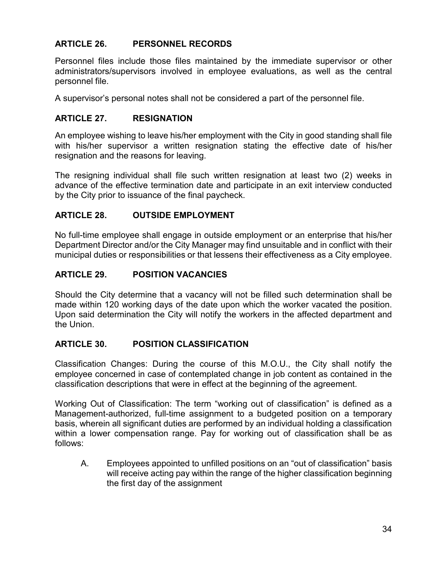## **ARTICLE 26. PERSONNEL RECORDS**

Personnel files include those files maintained by the immediate supervisor or other administrators/supervisors involved in employee evaluations, as well as the central personnel file.

A supervisor's personal notes shall not be considered a part of the personnel file.

### **ARTICLE 27. RESIGNATION**

An employee wishing to leave his/her employment with the City in good standing shall file with his/her supervisor a written resignation stating the effective date of his/her resignation and the reasons for leaving.

The resigning individual shall file such written resignation at least two (2) weeks in advance of the effective termination date and participate in an exit interview conducted by the City prior to issuance of the final paycheck.

### **ARTICLE 28. OUTSIDE EMPLOYMENT**

No full-time employee shall engage in outside employment or an enterprise that his/her Department Director and/or the City Manager may find unsuitable and in conflict with their municipal duties or responsibilities or that lessens their effectiveness as a City employee.

### **ARTICLE 29. POSITION VACANCIES**

Should the City determine that a vacancy will not be filled such determination shall be made within 120 working days of the date upon which the worker vacated the position. Upon said determination the City will notify the workers in the affected department and the Union.

### **ARTICLE 30. POSITION CLASSIFICATION**

Classification Changes: During the course of this M.O.U., the City shall notify the employee concerned in case of contemplated change in job content as contained in the classification descriptions that were in effect at the beginning of the agreement.

Working Out of Classification: The term "working out of classification" is defined as a Management-authorized, full-time assignment to a budgeted position on a temporary basis, wherein all significant duties are performed by an individual holding a classification within a lower compensation range. Pay for working out of classification shall be as follows:

A. Employees appointed to unfilled positions on an "out of classification" basis will receive acting pay within the range of the higher classification beginning the first day of the assignment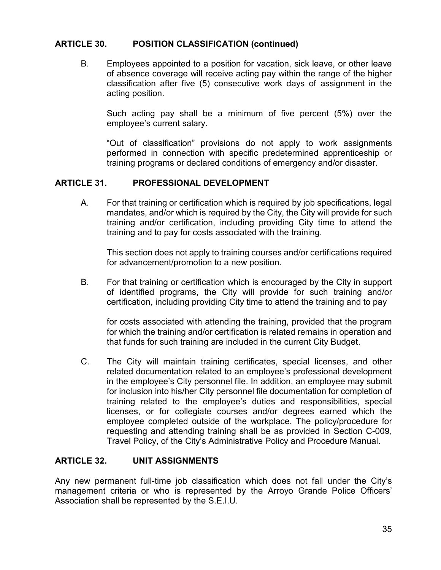#### **ARTICLE 30. POSITION CLASSIFICATION (continued)**

B. Employees appointed to a position for vacation, sick leave, or other leave of absence coverage will receive acting pay within the range of the higher classification after five (5) consecutive work days of assignment in the acting position.

Such acting pay shall be a minimum of five percent (5%) over the employee's current salary.

"Out of classification" provisions do not apply to work assignments performed in connection with specific predetermined apprenticeship or training programs or declared conditions of emergency and/or disaster.

#### **ARTICLE 31. PROFESSIONAL DEVELOPMENT**

A. For that training or certification which is required by job specifications, legal mandates, and/or which is required by the City, the City will provide for such training and/or certification, including providing City time to attend the training and to pay for costs associated with the training.

This section does not apply to training courses and/or certifications required for advancement/promotion to a new position.

B. For that training or certification which is encouraged by the City in support of identified programs, the City will provide for such training and/or certification, including providing City time to attend the training and to pay

for costs associated with attending the training, provided that the program for which the training and/or certification is related remains in operation and that funds for such training are included in the current City Budget.

C. The City will maintain training certificates, special licenses, and other related documentation related to an employee's professional development in the employee's City personnel file. In addition, an employee may submit for inclusion into his/her City personnel file documentation for completion of training related to the employee's duties and responsibilities, special licenses, or for collegiate courses and/or degrees earned which the employee completed outside of the workplace. The policy/procedure for requesting and attending training shall be as provided in Section C-009, Travel Policy, of the City's Administrative Policy and Procedure Manual.

### **ARTICLE 32. UNIT ASSIGNMENTS**

Any new permanent full-time job classification which does not fall under the City's management criteria or who is represented by the Arroyo Grande Police Officers' Association shall be represented by the S.E.I.U.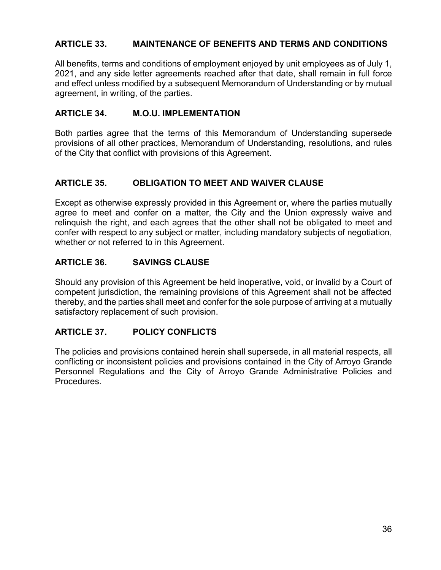## **ARTICLE 33. MAINTENANCE OF BENEFITS AND TERMS AND CONDITIONS**

All benefits, terms and conditions of employment enjoyed by unit employees as of July 1, 2021, and any side letter agreements reached after that date, shall remain in full force and effect unless modified by a subsequent Memorandum of Understanding or by mutual agreement, in writing, of the parties.

#### **ARTICLE 34. M.O.U. IMPLEMENTATION**

Both parties agree that the terms of this Memorandum of Understanding supersede provisions of all other practices, Memorandum of Understanding, resolutions, and rules of the City that conflict with provisions of this Agreement.

### **ARTICLE 35. OBLIGATION TO MEET AND WAIVER CLAUSE**

Except as otherwise expressly provided in this Agreement or, where the parties mutually agree to meet and confer on a matter, the City and the Union expressly waive and relinquish the right, and each agrees that the other shall not be obligated to meet and confer with respect to any subject or matter, including mandatory subjects of negotiation, whether or not referred to in this Agreement.

#### **ARTICLE 36. SAVINGS CLAUSE**

Should any provision of this Agreement be held inoperative, void, or invalid by a Court of competent jurisdiction, the remaining provisions of this Agreement shall not be affected thereby, and the parties shall meet and confer for the sole purpose of arriving at a mutually satisfactory replacement of such provision.

### **ARTICLE 37. POLICY CONFLICTS**

The policies and provisions contained herein shall supersede, in all material respects, all conflicting or inconsistent policies and provisions contained in the City of Arroyo Grande Personnel Regulations and the City of Arroyo Grande Administrative Policies and Procedures.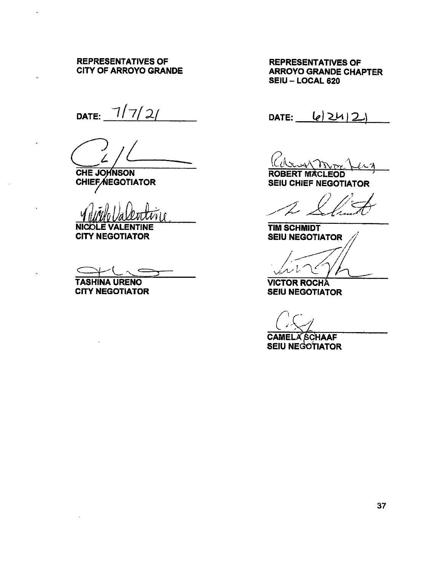## REPRESENTATIVES OF REPRESENTATIVES OF CITY OF ARROYO GRANDE

DATE:  $7/7/2/$  DATE:  $|e| \ge 1/2$ .

CHE JOHNSON ROBERT MACLEOD

CHIEF AEGOTIATOR<br>V VIII VALLUTI

NICOLE VALENTINE TIM SCHMIDT<br>CITY NEGOTIATOR SEIU NEGOTI

 $\overline{\phantom{a}}$ 

ARROYO GRANDE CHAPTER SEIU — LOCAL 620

<u>(Ch.</u>

CHIEF AEGOTIATOR SEIU CHIEF NEGOTIATOR

 $\frac{\sqrt{\gamma_{\text{N}}}}{\sqrt{\text{MACLEOD}}}$ <br>
EF NEGOTIATOR

SEIU NEGOTIATOR

 $\frac{7}{2}$ را پر

TASHINA URENO VICTOR ROCHA<br>CITY NEGOTIATOR SEIU NEGOTIAT SEIU NEGOTIATOR

 $\geq$ 

CAMELA SCHAAF SEIU NEGOTIATOR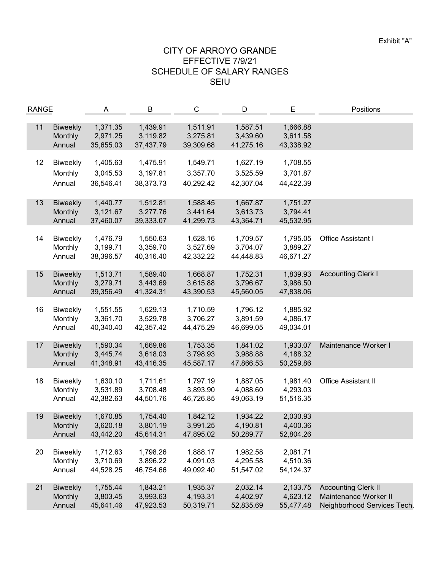| <b>RANGE</b> |                 | A         | B         | C         | D         | E         | Positions                   |
|--------------|-----------------|-----------|-----------|-----------|-----------|-----------|-----------------------------|
|              |                 |           |           |           |           |           |                             |
| 11           | <b>Biweekly</b> | 1,371.35  | 1,439.91  | 1,511.91  | 1,587.51  | 1,666.88  |                             |
|              | Monthly         | 2,971.25  | 3,119.82  | 3,275.81  | 3,439.60  | 3,611.58  |                             |
|              | Annual          | 35,655.03 | 37,437.79 | 39,309.68 | 41,275.16 | 43,338.92 |                             |
|              |                 |           |           |           |           |           |                             |
| 12           | <b>Biweekly</b> | 1,405.63  | 1,475.91  | 1,549.71  | 1,627.19  | 1,708.55  |                             |
|              | Monthly         | 3,045.53  | 3,197.81  | 3,357.70  | 3,525.59  | 3,701.87  |                             |
|              |                 |           |           |           |           |           |                             |
|              | Annual          | 36,546.41 | 38,373.73 | 40,292.42 | 42,307.04 | 44,422.39 |                             |
|              |                 |           |           |           |           |           |                             |
| 13           | <b>Biweekly</b> | 1,440.77  | 1,512.81  | 1,588.45  | 1,667.87  | 1,751.27  |                             |
|              | Monthly         | 3,121.67  | 3,277.76  | 3,441.64  | 3,613.73  | 3,794.41  |                             |
|              | Annual          | 37,460.07 | 39,333.07 | 41,299.73 | 43,364.71 | 45,532.95 |                             |
|              |                 |           |           |           |           |           |                             |
| 14           | <b>Biweekly</b> | 1,476.79  | 1,550.63  | 1,628.16  | 1,709.57  | 1,795.05  | Office Assistant I          |
|              | Monthly         | 3,199.71  | 3,359.70  | 3,527.69  | 3,704.07  | 3,889.27  |                             |
|              | Annual          | 38,396.57 | 40,316.40 | 42,332.22 | 44,448.83 | 46,671.27 |                             |
|              |                 |           |           |           |           |           |                             |
| 15           | <b>Biweekly</b> | 1,513.71  | 1,589.40  | 1,668.87  | 1,752.31  | 1,839.93  | <b>Accounting Clerk I</b>   |
|              | Monthly         | 3,279.71  | 3,443.69  | 3,615.88  | 3,796.67  | 3,986.50  |                             |
|              | Annual          | 39,356.49 | 41,324.31 | 43,390.53 | 45,560.05 | 47,838.06 |                             |
|              |                 |           |           |           |           |           |                             |
| 16           | <b>Biweekly</b> | 1,551.55  | 1,629.13  | 1,710.59  | 1,796.12  | 1,885.92  |                             |
|              | Monthly         | 3,361.70  | 3,529.78  | 3,706.27  | 3,891.59  | 4,086.17  |                             |
|              | Annual          | 40,340.40 | 42,357.42 | 44,475.29 | 46,699.05 | 49,034.01 |                             |
|              |                 |           |           |           |           |           |                             |
| 17           | <b>Biweekly</b> | 1,590.34  | 1,669.86  | 1,753.35  | 1,841.02  | 1,933.07  | Maintenance Worker I        |
|              | Monthly         | 3,445.74  | 3,618.03  | 3,798.93  | 3,988.88  | 4,188.32  |                             |
|              | Annual          | 41,348.91 | 43,416.35 | 45,587.17 | 47,866.53 | 50,259.86 |                             |
|              |                 |           |           |           |           |           |                             |
| 18           | <b>Biweekly</b> | 1,630.10  | 1,711.61  | 1,797.19  | 1,887.05  | 1,981.40  | <b>Office Assistant II</b>  |
|              | Monthly         | 3,531.89  | 3,708.48  | 3,893.90  | 4,088.60  | 4,293.03  |                             |
|              | Annual          | 42,382.63 | 44,501.76 | 46,726.85 | 49,063.19 | 51,516.35 |                             |
|              |                 |           |           |           |           |           |                             |
| 19           | <b>Biweekly</b> | 1,670.85  | 1,754.40  | 1,842.12  | 1,934.22  | 2,030.93  |                             |
|              | Monthly         | 3,620.18  | 3,801.19  | 3,991.25  | 4,190.81  | 4,400.36  |                             |
|              | Annual          | 43,442.20 | 45,614.31 | 47,895.02 | 50,289.77 | 52,804.26 |                             |
|              |                 |           |           |           |           |           |                             |
| 20           | Biweekly        | 1,712.63  | 1,798.26  | 1,888.17  | 1,982.58  | 2,081.71  |                             |
|              | Monthly         | 3,710.69  | 3,896.22  | 4,091.03  | 4,295.58  | 4,510.36  |                             |
|              | Annual          | 44,528.25 | 46,754.66 | 49,092.40 | 51,547.02 | 54,124.37 |                             |
|              |                 |           |           |           |           |           |                             |
| 21           | <b>Biweekly</b> | 1,755.44  | 1,843.21  | 1,935.37  | 2,032.14  | 2,133.75  | <b>Accounting Clerk II</b>  |
|              | Monthly         | 3,803.45  | 3,993.63  | 4,193.31  | 4,402.97  | 4,623.12  | Maintenance Worker II       |
|              | Annual          | 45,641.46 | 47,923.53 | 50,319.71 | 52,835.69 | 55,477.48 | Neighborhood Services Tech. |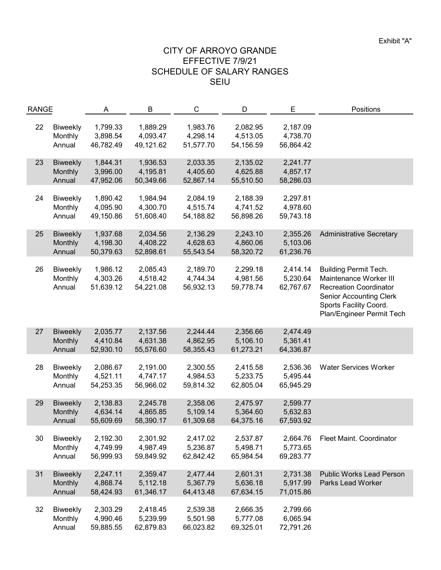| <b>RANGE</b> |                 | A         | B         | $\mathsf{C}$ | D         | E         | Positions                       |
|--------------|-----------------|-----------|-----------|--------------|-----------|-----------|---------------------------------|
|              |                 |           |           |              |           |           |                                 |
| 22           | <b>Biweekly</b> | 1,799.33  | 1,889.29  | 1,983.76     | 2,082.95  | 2,187.09  |                                 |
|              | Monthly         | 3,898.54  | 4,093.47  | 4,298.14     | 4,513.05  | 4,738.70  |                                 |
|              | Annual          | 46,782.49 | 49,121.62 | 51,577.70    | 54,156.59 | 56,864.42 |                                 |
|              |                 |           |           |              |           |           |                                 |
| 23           | <b>Biweekly</b> | 1,844.31  | 1,936.53  | 2,033.35     | 2,135.02  | 2,241.77  |                                 |
|              | Monthly         | 3,996.00  | 4,195.81  | 4,405.60     | 4,625.88  | 4,857.17  |                                 |
|              | Annual          | 47,952.06 | 50,349.66 | 52,867.14    | 55,510.50 | 58,286.03 |                                 |
|              |                 |           |           |              |           |           |                                 |
| 24           | <b>Biweekly</b> | 1,890.42  | 1,984.94  | 2,084.19     | 2,188.39  | 2,297.81  |                                 |
|              | Monthly         | 4,095.90  | 4,300.70  | 4,515.74     | 4,741.52  | 4,978.60  |                                 |
|              | Annual          | 49,150.86 | 51,608.40 | 54,188.82    | 56,898.26 | 59,743.18 |                                 |
|              |                 |           |           |              |           |           |                                 |
| 25           | <b>Biweekly</b> | 1,937.68  | 2,034.56  | 2,136.29     | 2,243.10  | 2,355.26  | <b>Administrative Secretary</b> |
|              | Monthly         | 4,198.30  | 4,408.22  | 4,628.63     | 4,860.06  | 5,103.06  |                                 |
|              | Annual          | 50,379.63 | 52,898.61 | 55,543.54    | 58,320.72 | 61,236.76 |                                 |
|              |                 |           |           |              |           |           |                                 |
| 26           | <b>Biweekly</b> | 1,986.12  | 2,085.43  | 2,189.70     | 2,299.18  | 2,414.14  | <b>Building Permit Tech.</b>    |
|              | Monthly         | 4,303.26  | 4,518.42  | 4,744.34     | 4,981.56  | 5,230.64  | Maintenance Worker III          |
|              | Annual          | 51,639.12 | 54,221.08 | 56,932.13    | 59,778.74 | 62,767.67 | <b>Recreation Coordinator</b>   |
|              |                 |           |           |              |           |           | <b>Senior Accounting Clerk</b>  |
|              |                 |           |           |              |           |           | Sports Facility Coord.          |
|              |                 |           |           |              |           |           | Plan/Engineer Permit Tech       |
|              |                 |           |           |              |           |           |                                 |
| 27           | <b>Biweekly</b> | 2,035.77  | 2,137.56  | 2,244.44     | 2,356.66  | 2,474.49  |                                 |
|              | Monthly         | 4,410.84  | 4,631.38  | 4,862.95     | 5,106.10  | 5,361.41  |                                 |
|              | Annual          | 52,930.10 | 55,576.60 | 58,355.43    | 61,273.21 | 64,336.87 |                                 |
|              |                 |           |           |              |           |           |                                 |
| 28           | <b>Biweekly</b> | 2,086.67  | 2,191.00  | 2,300.55     | 2,415.58  | 2,536.36  | <b>Water Services Worker</b>    |
|              |                 | 4,521.11  | 4,747.17  | 4,984.53     | 5,233.75  | 5,495.44  |                                 |
|              | Monthly         |           |           |              |           |           |                                 |
|              | Annual          | 54,253.35 | 56,966.02 | 59,814.32    | 62,805.04 | 65,945.29 |                                 |
|              |                 |           |           |              |           |           |                                 |
| 29           | <b>Biweekly</b> | 2,138.83  | 2,245.78  | 2,358.06     | 2,475.97  | 2,599.77  |                                 |
|              | Monthly         | 4,634.14  | 4,865.85  | 5,109.14     | 5,364.60  | 5,632.83  |                                 |
|              | Annual          | 55,609.69 | 58,390.17 | 61,309.68    | 64,375.16 | 67,593.92 |                                 |
|              |                 |           |           |              |           |           |                                 |
| 30           | Biweekly        | 2,192.30  | 2,301.92  | 2,417.02     | 2,537.87  | 2,664.76  | Fleet Maint. Coordinator        |
|              | Monthly         | 4,749.99  | 4,987.49  | 5,236.87     | 5,498.71  | 5,773.65  |                                 |
|              | Annual          | 56,999.93 | 59,849.92 | 62,842.42    | 65,984.54 | 69,283.77 |                                 |
|              |                 |           |           |              |           |           |                                 |
| 31           | <b>Biweekly</b> | 2,247.11  | 2,359.47  | 2,477.44     | 2,601.31  | 2,731.38  | <b>Public Works Lead Person</b> |
|              | Monthly         | 4,868.74  | 5,112.18  | 5,367.79     | 5,636.18  | 5,917.99  | Parks Lead Worker               |
|              | Annual          | 58,424.93 | 61,346.17 | 64,413.48    | 67,634.15 | 71,015.86 |                                 |
|              |                 |           |           |              |           |           |                                 |
| 32           | <b>Biweekly</b> | 2,303.29  | 2,418.45  | 2,539.38     | 2,666.35  | 2,799.66  |                                 |
|              | Monthly         | 4,990.46  | 5,239.99  | 5,501.98     | 5,777.08  | 6,065.94  |                                 |
|              | Annual          | 59,885.55 | 62,879.83 | 66,023.82    | 69,325.01 | 72,791.26 |                                 |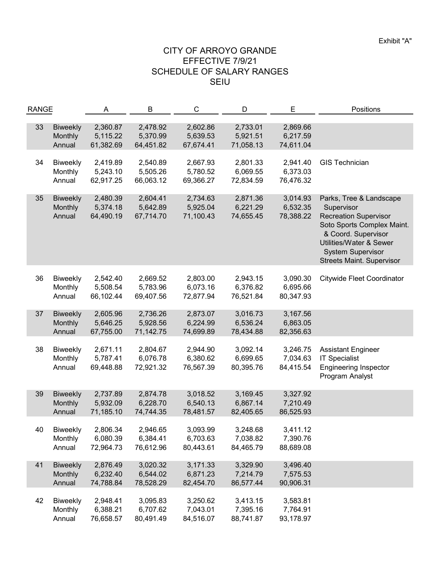| <b>RANGE</b> |                                      | A                                 | B                                 | $\mathsf{C}$                      | D                                 | E                                 | Positions                                                                                                                                                                                                             |
|--------------|--------------------------------------|-----------------------------------|-----------------------------------|-----------------------------------|-----------------------------------|-----------------------------------|-----------------------------------------------------------------------------------------------------------------------------------------------------------------------------------------------------------------------|
| 33           | <b>Biweekly</b><br>Monthly<br>Annual | 2,360.87<br>5,115.22<br>61,382.69 | 2,478.92<br>5,370.99<br>64,451.82 | 2,602.86<br>5,639.53<br>67,674.41 | 2,733.01<br>5,921.51<br>71,058.13 | 2,869.66<br>6,217.59<br>74,611.04 |                                                                                                                                                                                                                       |
| 34           | <b>Biweekly</b><br>Monthly<br>Annual | 2,419.89<br>5,243.10<br>62,917.25 | 2,540.89<br>5,505.26<br>66,063.12 | 2,667.93<br>5,780.52<br>69,366.27 | 2,801.33<br>6,069.55<br>72,834.59 | 2,941.40<br>6,373.03<br>76,476.32 | <b>GIS Technician</b>                                                                                                                                                                                                 |
| 35           | <b>Biweekly</b><br>Monthly<br>Annual | 2,480.39<br>5,374.18<br>64,490.19 | 2,604.41<br>5,642.89<br>67,714.70 | 2,734.63<br>5,925.04<br>71,100.43 | 2,871.36<br>6,221.29<br>74,655.45 | 3,014.93<br>6,532.35<br>78,388.22 | Parks, Tree & Landscape<br>Supervisor<br><b>Recreation Supervisor</b><br>Soto Sports Complex Maint.<br>& Coord. Supervisor<br>Utilities/Water & Sewer<br><b>System Supervisor</b><br><b>Streets Maint. Supervisor</b> |
| 36           | <b>Biweekly</b><br>Monthly<br>Annual | 2,542.40<br>5,508.54<br>66,102.44 | 2,669.52<br>5,783.96<br>69,407.56 | 2,803.00<br>6,073.16<br>72,877.94 | 2,943.15<br>6,376.82<br>76,521.84 | 3,090.30<br>6,695.66<br>80,347.93 | <b>Citywide Fleet Coordinator</b>                                                                                                                                                                                     |
| 37           | <b>Biweekly</b><br>Monthly<br>Annual | 2,605.96<br>5,646.25<br>67,755.00 | 2,736.26<br>5,928.56<br>71,142.75 | 2,873.07<br>6,224.99<br>74,699.89 | 3,016.73<br>6,536.24<br>78,434.88 | 3,167.56<br>6,863.05<br>82,356.63 |                                                                                                                                                                                                                       |
| 38           | <b>Biweekly</b><br>Monthly<br>Annual | 2,671.11<br>5,787.41<br>69,448.88 | 2,804.67<br>6,076.78<br>72,921.32 | 2,944.90<br>6,380.62<br>76,567.39 | 3,092.14<br>6,699.65<br>80,395.76 | 3,246.75<br>7,034.63<br>84,415.54 | <b>Assistant Engineer</b><br><b>IT Specialist</b><br><b>Engineering Inspector</b><br>Program Analyst                                                                                                                  |
| 39           | <b>Biweekly</b><br>Monthly<br>Annual | 2,737.89<br>5,932.09<br>71,185.10 | 2,874.78<br>6,228.70<br>74,744.35 | 3,018.52<br>6,540.13<br>78,481.57 | 3,169.45<br>6,867.14<br>82,405.65 | 3,327.92<br>7,210.49<br>86,525.93 |                                                                                                                                                                                                                       |
| 40           | <b>Biweekly</b><br>Monthly<br>Annual | 2,806.34<br>6,080.39<br>72,964.73 | 2,946.65<br>6,384.41<br>76,612.96 | 3,093.99<br>6,703.63<br>80,443.61 | 3,248.68<br>7,038.82<br>84,465.79 | 3,411.12<br>7,390.76<br>88,689.08 |                                                                                                                                                                                                                       |
| 41           | <b>Biweekly</b><br>Monthly<br>Annual | 2,876.49<br>6,232.40<br>74,788.84 | 3,020.32<br>6,544.02<br>78,528.29 | 3,171.33<br>6,871.23<br>82,454.70 | 3,329.90<br>7,214.79<br>86,577.44 | 3,496.40<br>7,575.53<br>90,906.31 |                                                                                                                                                                                                                       |
| 42           | <b>Biweekly</b><br>Monthly<br>Annual | 2,948.41<br>6,388.21<br>76,658.57 | 3,095.83<br>6,707.62<br>80,491.49 | 3,250.62<br>7,043.01<br>84,516.07 | 3,413.15<br>7,395.16<br>88,741.87 | 3,583.81<br>7,764.91<br>93,178.97 |                                                                                                                                                                                                                       |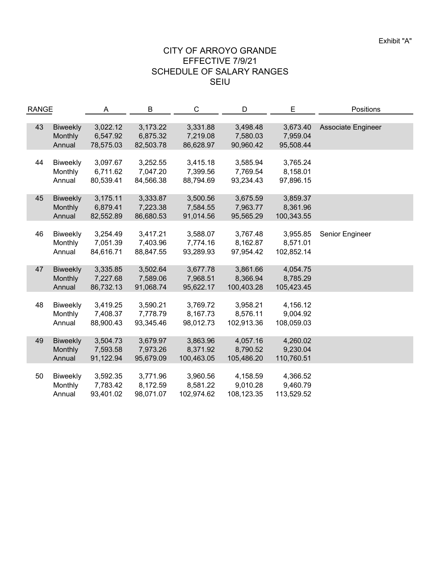| <b>RANGE</b> |                 | A         | B         | C          | D          | Е          | Positions          |
|--------------|-----------------|-----------|-----------|------------|------------|------------|--------------------|
|              |                 |           |           |            |            |            |                    |
| 43           | <b>Biweekly</b> | 3,022.12  | 3,173.22  | 3,331.88   | 3,498.48   | 3,673.40   | Associate Engineer |
|              | Monthly         | 6,547.92  | 6,875.32  | 7,219.08   | 7,580.03   | 7,959.04   |                    |
|              | Annual          | 78,575.03 | 82,503.78 | 86,628.97  | 90,960.42  | 95,508.44  |                    |
|              |                 |           |           |            |            |            |                    |
| 44           | Biweekly        | 3,097.67  | 3,252.55  | 3,415.18   | 3,585.94   | 3,765.24   |                    |
|              | Monthly         | 6,711.62  | 7,047.20  | 7,399.56   | 7,769.54   | 8,158.01   |                    |
|              | Annual          | 80,539.41 | 84,566.38 | 88,794.69  | 93,234.43  | 97,896.15  |                    |
|              |                 |           |           |            |            |            |                    |
| 45           | <b>Biweekly</b> | 3,175.11  | 3,333.87  | 3,500.56   | 3,675.59   | 3,859.37   |                    |
|              | Monthly         | 6,879.41  | 7,223.38  | 7,584.55   | 7,963.77   | 8,361.96   |                    |
|              | Annual          | 82,552.89 | 86,680.53 | 91,014.56  | 95,565.29  | 100,343.55 |                    |
|              |                 |           |           |            |            |            |                    |
| 46           | Biweekly        | 3,254.49  | 3,417.21  | 3,588.07   | 3,767.48   | 3,955.85   | Senior Engineer    |
|              | Monthly         | 7,051.39  | 7,403.96  | 7,774.16   | 8,162.87   | 8,571.01   |                    |
|              | Annual          | 84,616.71 | 88,847.55 | 93,289.93  | 97,954.42  | 102,852.14 |                    |
|              |                 |           |           |            |            |            |                    |
| 47           | <b>Biweekly</b> | 3,335.85  | 3,502.64  | 3,677.78   | 3,861.66   | 4,054.75   |                    |
|              | Monthly         | 7,227.68  | 7,589.06  | 7,968.51   | 8,366.94   | 8,785.29   |                    |
|              | Annual          | 86,732.13 | 91,068.74 | 95,622.17  | 100,403.28 | 105,423.45 |                    |
|              |                 |           |           |            |            |            |                    |
| 48           | Biweekly        | 3,419.25  | 3,590.21  | 3,769.72   | 3,958.21   | 4,156.12   |                    |
|              | Monthly         | 7,408.37  | 7,778.79  | 8,167.73   | 8,576.11   | 9,004.92   |                    |
|              | Annual          | 88,900.43 | 93,345.46 | 98,012.73  | 102,913.36 | 108,059.03 |                    |
|              |                 |           |           |            |            |            |                    |
| 49           | <b>Biweekly</b> | 3,504.73  | 3,679.97  | 3,863.96   | 4,057.16   | 4,260.02   |                    |
|              | Monthly         | 7,593.58  | 7,973.26  | 8,371.92   | 8,790.52   | 9,230.04   |                    |
|              | Annual          | 91,122.94 | 95,679.09 | 100,463.05 | 105,486.20 | 110,760.51 |                    |
|              |                 |           |           |            |            |            |                    |
| 50           | <b>Biweekly</b> | 3,592.35  | 3,771.96  | 3,960.56   | 4,158.59   | 4,366.52   |                    |
|              | Monthly         | 7,783.42  | 8,172.59  | 8,581.22   | 9,010.28   | 9,460.79   |                    |
|              | Annual          | 93,401.02 | 98,071.07 | 102,974.62 | 108,123.35 | 113,529.52 |                    |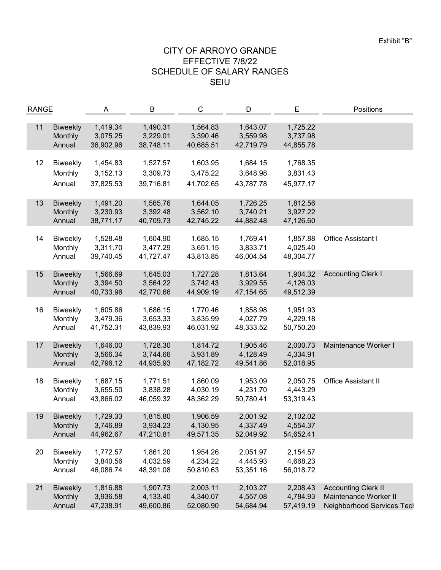| <b>RANGE</b> |                                      | A                                 | B                                 | C                                 | D                                 | E                                 | Positions                                                                         |
|--------------|--------------------------------------|-----------------------------------|-----------------------------------|-----------------------------------|-----------------------------------|-----------------------------------|-----------------------------------------------------------------------------------|
| 11           | <b>Biweekly</b><br>Monthly<br>Annual | 1,419.34<br>3,075.25<br>36,902.96 | 1,490.31<br>3,229.01<br>38,748.11 | 1,564.83<br>3,390.46<br>40,685.51 | 1,643.07<br>3,559.98<br>42,719.79 | 1,725.22<br>3,737.98<br>44,855.78 |                                                                                   |
| 12           | <b>Biweekly</b><br>Monthly<br>Annual | 1,454.83<br>3,152.13<br>37,825.53 | 1,527.57<br>3,309.73<br>39,716.81 | 1,603.95<br>3,475.22<br>41,702.65 | 1,684.15<br>3,648.98<br>43,787.78 | 1,768.35<br>3,831.43<br>45,977.17 |                                                                                   |
| 13           | <b>Biweekly</b><br>Monthly<br>Annual | 1,491.20<br>3,230.93<br>38,771.17 | 1,565.76<br>3,392.48<br>40,709.73 | 1,644.05<br>3,562.10<br>42,745.22 | 1,726.25<br>3,740.21<br>44,882.48 | 1,812.56<br>3,927.22<br>47,126.60 |                                                                                   |
| 14           | <b>Biweekly</b><br>Monthly<br>Annual | 1,528.48<br>3,311.70<br>39,740.45 | 1,604.90<br>3,477.29<br>41,727.47 | 1,685.15<br>3,651.15<br>43,813.85 | 1,769.41<br>3,833.71<br>46,004.54 | 1,857.88<br>4,025.40<br>48,304.77 | Office Assistant I                                                                |
| 15           | <b>Biweekly</b><br>Monthly<br>Annual | 1,566.69<br>3,394.50<br>40,733.96 | 1,645.03<br>3,564.22<br>42,770.66 | 1,727.28<br>3,742.43<br>44,909.19 | 1,813.64<br>3,929.55<br>47,154.65 | 1,904.32<br>4,126.03<br>49,512.39 | <b>Accounting Clerk I</b>                                                         |
| 16           | <b>Biweekly</b><br>Monthly<br>Annual | 1,605.86<br>3,479.36<br>41,752.31 | 1,686.15<br>3,653.33<br>43,839.93 | 1,770.46<br>3,835.99<br>46,031.92 | 1,858.98<br>4,027.79<br>48,333.52 | 1,951.93<br>4,229.18<br>50,750.20 |                                                                                   |
| 17           | <b>Biweekly</b><br>Monthly<br>Annual | 1,646.00<br>3,566.34<br>42,796.12 | 1,728.30<br>3,744.66<br>44,935.93 | 1,814.72<br>3,931.89<br>47,182.72 | 1,905.46<br>4,128.49<br>49,541.86 | 2,000.73<br>4,334.91<br>52,018.95 | Maintenance Worker I                                                              |
| 18           | <b>Biweekly</b><br>Monthly<br>Annual | 1,687.15<br>3,655.50<br>43,866.02 | 1,771.51<br>3,838.28<br>46,059.32 | 1,860.09<br>4,030.19<br>48,362.29 | 1,953.09<br>4,231.70<br>50,780.41 | 2,050.75<br>4,443.29<br>53,319.43 | <b>Office Assistant II</b>                                                        |
| 19           | <b>Biweekly</b><br>Monthly<br>Annual | 1,729.33<br>3,746.89<br>44,962.67 | 1,815.80<br>3,934.23<br>47,210.81 | 1,906.59<br>4,130.95<br>49,571.35 | 2,001.92<br>4,337.49<br>52,049.92 | 2,102.02<br>4,554.37<br>54,652.41 |                                                                                   |
| 20           | Biweekly<br>Monthly<br>Annual        | 1,772.57<br>3,840.56<br>46,086.74 | 1,861.20<br>4,032.59<br>48,391.08 | 1,954.26<br>4,234.22<br>50,810.63 | 2,051.97<br>4,445.93<br>53,351.16 | 2,154.57<br>4,668.23<br>56,018.72 |                                                                                   |
| 21           | <b>Biweekly</b><br>Monthly<br>Annual | 1,816.88<br>3,936.58<br>47,238.91 | 1,907.73<br>4,133.40<br>49,600.86 | 2,003.11<br>4,340.07<br>52,080.90 | 2,103.27<br>4,557.08<br>54,684.94 | 2,208.43<br>4,784.93<br>57,419.19 | <b>Accounting Clerk II</b><br>Maintenance Worker II<br>Neighborhood Services Tecl |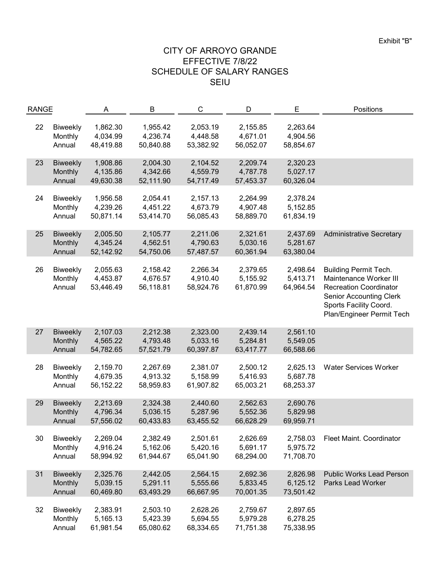| <b>RANGE</b> |                                      | Α                                 | B                                 | C                                 | D                                 | E                                 | Positions                                                                                                                                                                        |
|--------------|--------------------------------------|-----------------------------------|-----------------------------------|-----------------------------------|-----------------------------------|-----------------------------------|----------------------------------------------------------------------------------------------------------------------------------------------------------------------------------|
| 22           | Biweekly<br>Monthly<br>Annual        | 1,862.30<br>4,034.99<br>48,419.88 | 1,955.42<br>4,236.74<br>50,840.88 | 2,053.19<br>4,448.58<br>53,382.92 | 2,155.85<br>4,671.01<br>56,052.07 | 2,263.64<br>4,904.56<br>58,854.67 |                                                                                                                                                                                  |
| 23           | <b>Biweekly</b><br>Monthly<br>Annual | 1,908.86<br>4,135.86<br>49,630.38 | 2,004.30<br>4,342.66<br>52,111.90 | 2,104.52<br>4,559.79<br>54,717.49 | 2,209.74<br>4,787.78<br>57,453.37 | 2,320.23<br>5,027.17<br>60,326.04 |                                                                                                                                                                                  |
| 24           | <b>Biweekly</b><br>Monthly<br>Annual | 1,956.58<br>4,239.26<br>50,871.14 | 2,054.41<br>4,451.22<br>53,414.70 | 2,157.13<br>4,673.79<br>56,085.43 | 2,264.99<br>4,907.48<br>58,889.70 | 2,378.24<br>5,152.85<br>61,834.19 |                                                                                                                                                                                  |
| 25           | <b>Biweekly</b><br>Monthly<br>Annual | 2,005.50<br>4,345.24<br>52,142.92 | 2,105.77<br>4,562.51<br>54,750.06 | 2,211.06<br>4,790.63<br>57,487.57 | 2,321.61<br>5,030.16<br>60,361.94 | 2,437.69<br>5,281.67<br>63,380.04 | <b>Administrative Secretary</b>                                                                                                                                                  |
| 26           | Biweekly<br>Monthly<br>Annual        | 2,055.63<br>4,453.87<br>53,446.49 | 2,158.42<br>4,676.57<br>56,118.81 | 2,266.34<br>4,910.40<br>58,924.76 | 2,379.65<br>5,155.92<br>61,870.99 | 2,498.64<br>5,413.71<br>64,964.54 | <b>Building Permit Tech.</b><br>Maintenance Worker III<br><b>Recreation Coordinator</b><br><b>Senior Accounting Clerk</b><br>Sports Facility Coord.<br>Plan/Engineer Permit Tech |
| 27           | <b>Biweekly</b><br>Monthly<br>Annual | 2,107.03<br>4,565.22<br>54,782.65 | 2,212.38<br>4,793.48<br>57,521.79 | 2,323.00<br>5,033.16<br>60,397.87 | 2,439.14<br>5,284.81<br>63,417.77 | 2,561.10<br>5,549.05<br>66,588.66 |                                                                                                                                                                                  |
| 28           | <b>Biweekly</b><br>Monthly<br>Annual | 2,159.70<br>4,679.35<br>56,152.22 | 2,267.69<br>4,913.32<br>58,959.83 | 2,381.07<br>5,158.99<br>61,907.82 | 2,500.12<br>5,416.93<br>65,003.21 | 2,625.13<br>5,687.78<br>68,253.37 | <b>Water Services Worker</b>                                                                                                                                                     |
| 29           | <b>Biweekly</b><br>Monthly<br>Annual | 2,213.69<br>4,796.34<br>57,556.02 | 2,324.38<br>5,036.15<br>60,433.83 | 2,440.60<br>5,287.96<br>63,455.52 | 2,562.63<br>5,552.36<br>66,628.29 | 2,690.76<br>5,829.98<br>69,959.71 |                                                                                                                                                                                  |
| 30           | <b>Biweekly</b><br>Monthly<br>Annual | 2,269.04<br>4,916.24<br>58,994.92 | 2,382.49<br>5,162.06<br>61,944.67 | 2,501.61<br>5,420.16<br>65,041.90 | 2,626.69<br>5,691.17<br>68,294.00 | 2,758.03<br>5,975.72<br>71,708.70 | Fleet Maint. Coordinator                                                                                                                                                         |
| 31           | <b>Biweekly</b><br>Monthly<br>Annual | 2,325.76<br>5,039.15<br>60,469.80 | 2,442.05<br>5,291.11<br>63,493.29 | 2,564.15<br>5,555.66<br>66,667.95 | 2,692.36<br>5,833.45<br>70,001.35 | 2,826.98<br>6,125.12<br>73,501.42 | <b>Public Works Lead Person</b><br><b>Parks Lead Worker</b>                                                                                                                      |
| 32           | <b>Biweekly</b><br>Monthly<br>Annual | 2,383.91<br>5,165.13<br>61,981.54 | 2,503.10<br>5,423.39<br>65,080.62 | 2,628.26<br>5,694.55<br>68,334.65 | 2,759.67<br>5,979.28<br>71,751.38 | 2,897.65<br>6,278.25<br>75,338.95 |                                                                                                                                                                                  |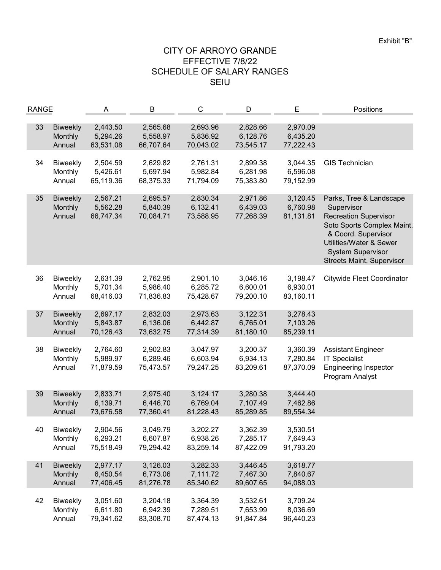| <b>RANGE</b> |                                      | Α                                 | B                                 | C                                 | D                                 | E                                 | Positions                                                                                                                                                                                                             |
|--------------|--------------------------------------|-----------------------------------|-----------------------------------|-----------------------------------|-----------------------------------|-----------------------------------|-----------------------------------------------------------------------------------------------------------------------------------------------------------------------------------------------------------------------|
| 33           | <b>Biweekly</b><br>Monthly<br>Annual | 2,443.50<br>5,294.26<br>63,531.08 | 2,565.68<br>5,558.97<br>66,707.64 | 2,693.96<br>5,836.92<br>70,043.02 | 2,828.66<br>6,128.76<br>73,545.17 | 2,970.09<br>6,435.20<br>77,222.43 |                                                                                                                                                                                                                       |
| 34           | <b>Biweekly</b><br>Monthly<br>Annual | 2,504.59<br>5,426.61<br>65,119.36 | 2,629.82<br>5,697.94<br>68,375.33 | 2,761.31<br>5,982.84<br>71,794.09 | 2,899.38<br>6,281.98<br>75,383.80 | 3,044.35<br>6,596.08<br>79,152.99 | <b>GIS Technician</b>                                                                                                                                                                                                 |
| 35           | <b>Biweekly</b><br>Monthly<br>Annual | 2,567.21<br>5,562.28<br>66,747.34 | 2,695.57<br>5,840.39<br>70,084.71 | 2,830.34<br>6,132.41<br>73,588.95 | 2,971.86<br>6,439.03<br>77,268.39 | 3,120.45<br>6,760.98<br>81,131.81 | Parks, Tree & Landscape<br>Supervisor<br><b>Recreation Supervisor</b><br>Soto Sports Complex Maint.<br>& Coord. Supervisor<br>Utilities/Water & Sewer<br><b>System Supervisor</b><br><b>Streets Maint. Supervisor</b> |
| 36           | Biweekly<br>Monthly<br>Annual        | 2,631.39<br>5,701.34<br>68,416.03 | 2,762.95<br>5,986.40<br>71,836.83 | 2,901.10<br>6,285.72<br>75,428.67 | 3,046.16<br>6,600.01<br>79,200.10 | 3,198.47<br>6,930.01<br>83,160.11 | <b>Citywide Fleet Coordinator</b>                                                                                                                                                                                     |
| 37           | <b>Biweekly</b><br>Monthly<br>Annual | 2,697.17<br>5,843.87<br>70,126.43 | 2,832.03<br>6,136.06<br>73,632.75 | 2,973.63<br>6,442.87<br>77,314.39 | 3,122.31<br>6,765.01<br>81,180.10 | 3,278.43<br>7,103.26<br>85,239.11 |                                                                                                                                                                                                                       |
| 38           | <b>Biweekly</b><br>Monthly<br>Annual | 2,764.60<br>5,989.97<br>71,879.59 | 2,902.83<br>6,289.46<br>75,473.57 | 3,047.97<br>6,603.94<br>79,247.25 | 3,200.37<br>6,934.13<br>83,209.61 | 3,360.39<br>7,280.84<br>87,370.09 | <b>Assistant Engineer</b><br><b>IT Specialist</b><br><b>Engineering Inspector</b><br>Program Analyst                                                                                                                  |
| 39           | <b>Biweekly</b><br>Monthly<br>Annual | 2,833.71<br>6,139.71<br>73,676.58 | 2,975.40<br>6,446.70<br>77,360.41 | 3,124.17<br>6,769.04<br>81,228.43 | 3,280.38<br>7,107.49<br>85,289.85 | 3,444.40<br>7,462.86<br>89,554.34 |                                                                                                                                                                                                                       |
| 40           | <b>Biweekly</b><br>Monthly<br>Annual | 2,904.56<br>6,293.21<br>75,518.49 | 3,049.79<br>6,607.87<br>79,294.42 | 3,202.27<br>6,938.26<br>83,259.14 | 3,362.39<br>7,285.17<br>87,422.09 | 3,530.51<br>7,649.43<br>91,793.20 |                                                                                                                                                                                                                       |
| 41           | <b>Biweekly</b><br>Monthly<br>Annual | 2,977.17<br>6,450.54<br>77,406.45 | 3,126.03<br>6,773.06<br>81,276.78 | 3,282.33<br>7,111.72<br>85,340.62 | 3,446.45<br>7,467.30<br>89,607.65 | 3,618.77<br>7,840.67<br>94,088.03 |                                                                                                                                                                                                                       |
| 42           | <b>Biweekly</b><br>Monthly<br>Annual | 3,051.60<br>6,611.80<br>79,341.62 | 3,204.18<br>6,942.39<br>83,308.70 | 3,364.39<br>7,289.51<br>87,474.13 | 3,532.61<br>7,653.99<br>91,847.84 | 3,709.24<br>8,036.69<br>96,440.23 |                                                                                                                                                                                                                       |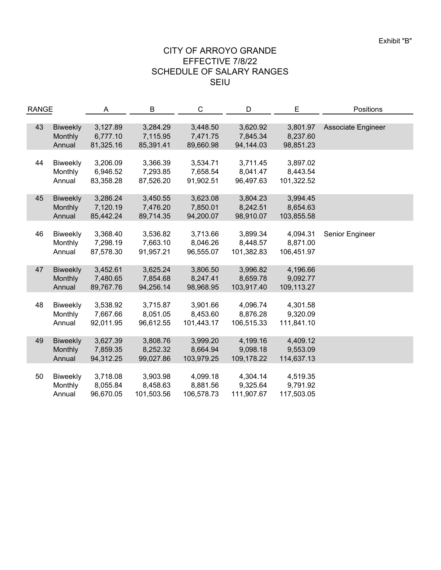| <b>RANGE</b> |                 | Α         | В          | C          | D          | E          | Positions          |
|--------------|-----------------|-----------|------------|------------|------------|------------|--------------------|
| 43           | <b>Biweekly</b> | 3,127.89  | 3,284.29   | 3,448.50   | 3,620.92   | 3,801.97   | Associate Engineer |
|              | Monthly         | 6,777.10  | 7,115.95   | 7,471.75   | 7,845.34   | 8,237.60   |                    |
|              | Annual          | 81,325.16 | 85,391.41  | 89,660.98  | 94,144.03  | 98,851.23  |                    |
|              |                 |           |            |            |            |            |                    |
| 44           | <b>Biweekly</b> | 3,206.09  | 3,366.39   | 3,534.71   | 3,711.45   | 3,897.02   |                    |
|              | Monthly         | 6,946.52  | 7,293.85   | 7,658.54   | 8,041.47   | 8,443.54   |                    |
|              | Annual          | 83,358.28 | 87,526.20  | 91,902.51  | 96,497.63  | 101,322.52 |                    |
|              |                 |           |            |            |            |            |                    |
| 45           | <b>Biweekly</b> | 3,286.24  | 3,450.55   | 3,623.08   | 3,804.23   | 3,994.45   |                    |
|              | Monthly         | 7,120.19  | 7,476.20   | 7,850.01   | 8,242.51   | 8,654.63   |                    |
|              | Annual          | 85,442.24 | 89,714.35  | 94,200.07  | 98,910.07  | 103,855.58 |                    |
|              |                 |           |            |            |            |            |                    |
| 46           | <b>Biweekly</b> | 3,368.40  | 3,536.82   | 3,713.66   | 3,899.34   | 4,094.31   | Senior Engineer    |
|              | Monthly         | 7,298.19  | 7,663.10   | 8,046.26   | 8,448.57   | 8,871.00   |                    |
|              | Annual          | 87,578.30 | 91,957.21  | 96,555.07  | 101,382.83 | 106,451.97 |                    |
|              |                 |           |            |            |            |            |                    |
| 47           | <b>Biweekly</b> | 3,452.61  | 3,625.24   | 3,806.50   | 3,996.82   | 4,196.66   |                    |
|              | Monthly         | 7,480.65  | 7,854.68   | 8,247.41   | 8,659.78   | 9,092.77   |                    |
|              | Annual          | 89,767.76 | 94,256.14  | 98,968.95  | 103,917.40 | 109,113.27 |                    |
|              |                 |           |            |            |            |            |                    |
| 48           | <b>Biweekly</b> | 3,538.92  | 3,715.87   | 3,901.66   | 4,096.74   | 4,301.58   |                    |
|              | Monthly         | 7,667.66  | 8,051.05   | 8,453.60   | 8,876.28   | 9,320.09   |                    |
|              | Annual          | 92,011.95 | 96,612.55  | 101,443.17 | 106,515.33 | 111,841.10 |                    |
|              |                 |           |            |            |            |            |                    |
| 49           | <b>Biweekly</b> | 3,627.39  | 3,808.76   | 3,999.20   | 4,199.16   | 4,409.12   |                    |
|              | Monthly         | 7,859.35  | 8,252.32   | 8,664.94   | 9,098.18   | 9,553.09   |                    |
|              | Annual          | 94,312.25 | 99,027.86  | 103,979.25 | 109,178.22 | 114,637.13 |                    |
|              |                 |           |            |            |            |            |                    |
| 50           | <b>Biweekly</b> | 3,718.08  | 3,903.98   | 4,099.18   | 4,304.14   | 4,519.35   |                    |
|              | Monthly         | 8,055.84  | 8,458.63   | 8,881.56   | 9,325.64   | 9,791.92   |                    |
|              | Annual          | 96,670.05 | 101,503.56 | 106,578.73 | 111,907.67 | 117,503.05 |                    |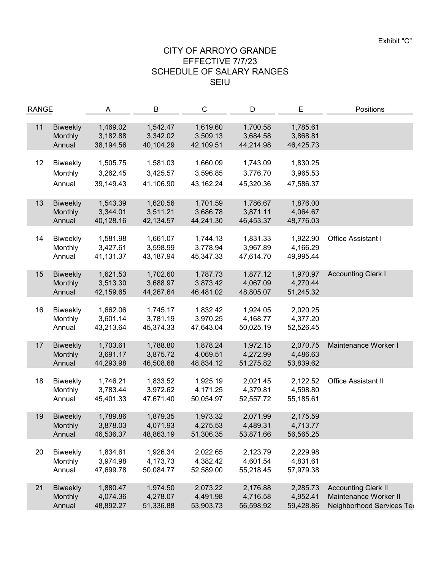| <b>RANGE</b> |                 | Α         | B         | $\mathsf C$<br>D | E         | Positions |                            |
|--------------|-----------------|-----------|-----------|------------------|-----------|-----------|----------------------------|
|              |                 |           |           |                  |           |           |                            |
| 11           | <b>Biweekly</b> | 1,469.02  | 1,542.47  | 1,619.60         | 1,700.58  | 1,785.61  |                            |
|              | Monthly         | 3,182.88  | 3,342.02  | 3,509.13         | 3,684.58  | 3,868.81  |                            |
|              | Annual          | 38,194.56 | 40,104.29 | 42,109.51        | 44,214.98 | 46,425.73 |                            |
|              |                 |           |           |                  |           |           |                            |
| 12           | <b>Biweekly</b> | 1,505.75  | 1,581.03  | 1,660.09         | 1,743.09  | 1,830.25  |                            |
|              | Monthly         | 3,262.45  | 3,425.57  | 3,596.85         | 3,776.70  | 3,965.53  |                            |
|              |                 |           |           |                  |           |           |                            |
|              | Annual          | 39,149.43 | 41,106.90 | 43,162.24        | 45,320.36 | 47,586.37 |                            |
|              |                 |           |           |                  |           |           |                            |
| 13           | <b>Biweekly</b> | 1,543.39  | 1,620.56  | 1,701.59         | 1,786.67  | 1,876.00  |                            |
|              | Monthly         | 3,344.01  | 3,511.21  | 3,686.78         | 3,871.11  | 4,064.67  |                            |
|              | Annual          | 40,128.16 | 42,134.57 | 44,241.30        | 46,453.37 | 48,776.03 |                            |
|              |                 |           |           |                  |           |           |                            |
| 14           | <b>Biweekly</b> | 1,581.98  | 1,661.07  | 1,744.13         | 1,831.33  | 1,922.90  | Office Assistant I         |
|              | Monthly         | 3,427.61  | 3,598.99  | 3,778.94         | 3,967.89  | 4,166.29  |                            |
|              | Annual          | 41,131.37 | 43,187.94 | 45,347.33        | 47,614.70 | 49,995.44 |                            |
|              |                 |           |           |                  |           |           |                            |
| 15           | <b>Biweekly</b> | 1,621.53  | 1,702.60  | 1,787.73         | 1,877.12  | 1,970.97  | <b>Accounting Clerk I</b>  |
|              | Monthly         | 3,513.30  | 3,688.97  | 3,873.42         | 4,067.09  | 4,270.44  |                            |
|              | Annual          | 42,159.65 | 44,267.64 | 46,481.02        | 48,805.07 | 51,245.32 |                            |
|              |                 |           |           |                  |           |           |                            |
| 16           | <b>Biweekly</b> | 1,662.06  | 1,745.17  | 1,832.42         | 1,924.05  | 2,020.25  |                            |
|              | Monthly         | 3,601.14  | 3,781.19  | 3,970.25         | 4,168.77  | 4,377.20  |                            |
|              | Annual          | 43,213.64 | 45,374.33 | 47,643.04        | 50,025.19 | 52,526.45 |                            |
|              |                 |           |           |                  |           |           |                            |
| 17           | <b>Biweekly</b> | 1,703.61  | 1,788.80  | 1,878.24         | 1,972.15  | 2,070.75  | Maintenance Worker I       |
|              | Monthly         | 3,691.17  | 3,875.72  | 4,069.51         | 4,272.99  | 4,486.63  |                            |
|              | Annual          | 44,293.98 | 46,508.68 | 48,834.12        | 51,275.82 | 53,839.62 |                            |
|              |                 |           |           |                  |           |           |                            |
| 18           | <b>Biweekly</b> | 1,746.21  | 1,833.52  | 1,925.19         | 2,021.45  | 2,122.52  | <b>Office Assistant II</b> |
|              | Monthly         | 3,783.44  | 3,972.62  | 4,171.25         | 4,379.81  | 4,598.80  |                            |
|              | Annual          | 45,401.33 | 47,671.40 | 50,054.97        | 52,557.72 | 55,185.61 |                            |
|              |                 |           |           |                  |           |           |                            |
| 19           | <b>Biweekly</b> | 1,789.86  | 1,879.35  | 1,973.32         | 2,071.99  | 2,175.59  |                            |
|              | Monthly         | 3,878.03  | 4,071.93  | 4,275.53         | 4,489.31  | 4,713.77  |                            |
|              | Annual          | 46,536.37 | 48,863.19 | 51,306.35        | 53,871.66 | 56,565.25 |                            |
|              |                 |           |           |                  |           |           |                            |
| 20           | <b>Biweekly</b> | 1,834.61  | 1,926.34  | 2,022.65         | 2,123.79  | 2,229.98  |                            |
|              | Monthly         | 3,974.98  | 4,173.73  | 4,382.42         | 4,601.54  | 4,831.61  |                            |
|              | Annual          | 47,699.78 | 50,084.77 | 52,589.00        | 55,218.45 | 57,979.38 |                            |
|              |                 |           |           |                  |           |           |                            |
| 21           | <b>Biweekly</b> | 1,880.47  | 1,974.50  | 2,073.22         | 2,176.88  | 2,285.73  | <b>Accounting Clerk II</b> |
|              | Monthly         | 4,074.36  | 4,278.07  | 4,491.98         | 4,716.58  | 4,952.41  | Maintenance Worker II      |
|              | Annual          | 48,892.27 | 51,336.88 | 53,903.73        | 56,598.92 | 59,428.86 | Neighborhood Services Ted  |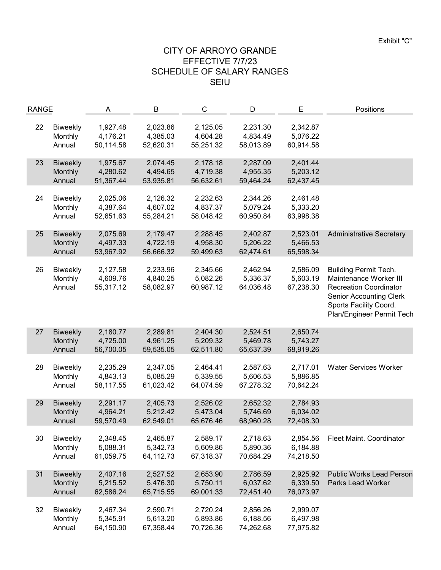| <b>RANGE</b> |                            | A                    | B                    | C                    | D                    | E                    | Positions                       |
|--------------|----------------------------|----------------------|----------------------|----------------------|----------------------|----------------------|---------------------------------|
|              |                            |                      |                      |                      |                      |                      |                                 |
| 22           | <b>Biweekly</b><br>Monthly | 1,927.48<br>4,176.21 | 2,023.86<br>4,385.03 | 2,125.05<br>4,604.28 | 2,231.30<br>4,834.49 | 2,342.87<br>5,076.22 |                                 |
|              | Annual                     | 50,114.58            |                      | 55,251.32            | 58,013.89            |                      |                                 |
|              |                            |                      | 52,620.31            |                      |                      | 60,914.58            |                                 |
| 23           | <b>Biweekly</b>            | 1,975.67             | 2,074.45             | 2,178.18             | 2,287.09             | 2,401.44             |                                 |
|              | Monthly                    | 4,280.62             | 4,494.65             | 4,719.38             | 4,955.35             | 5,203.12             |                                 |
|              | Annual                     | 51,367.44            | 53,935.81            | 56,632.61            | 59,464.24            | 62,437.45            |                                 |
|              |                            |                      |                      |                      |                      |                      |                                 |
| 24           | <b>Biweekly</b>            | 2,025.06             | 2,126.32             | 2,232.63             | 2,344.26             | 2,461.48             |                                 |
|              | Monthly                    | 4,387.64             | 4,607.02             | 4,837.37             | 5,079.24             | 5,333.20             |                                 |
|              | Annual                     | 52,651.63            | 55,284.21            | 58,048.42            | 60,950.84            | 63,998.38            |                                 |
|              |                            |                      |                      |                      |                      |                      |                                 |
| 25           | <b>Biweekly</b>            | 2,075.69             | 2,179.47             | 2,288.45             | 2,402.87             | 2,523.01             | <b>Administrative Secretary</b> |
|              | Monthly                    | 4,497.33             | 4,722.19             | 4,958.30             | 5,206.22             | 5,466.53             |                                 |
|              | Annual                     | 53,967.92            | 56,666.32            | 59,499.63            | 62,474.61            | 65,598.34            |                                 |
| 26           | <b>Biweekly</b>            | 2,127.58             | 2,233.96             | 2,345.66             | 2,462.94             | 2,586.09             | <b>Building Permit Tech.</b>    |
|              | Monthly                    | 4,609.76             | 4,840.25             | 5,082.26             | 5,336.37             | 5,603.19             | Maintenance Worker III          |
|              | Annual                     | 55,317.12            | 58,082.97            | 60,987.12            | 64,036.48            | 67,238.30            | <b>Recreation Coordinator</b>   |
|              |                            |                      |                      |                      |                      |                      | <b>Senior Accounting Clerk</b>  |
|              |                            |                      |                      |                      |                      |                      | Sports Facility Coord.          |
|              |                            |                      |                      |                      |                      |                      | Plan/Engineer Permit Tech       |
|              |                            |                      |                      |                      |                      |                      |                                 |
| 27           | <b>Biweekly</b>            | 2,180.77             | 2,289.81             | 2,404.30             | 2,524.51             | 2,650.74             |                                 |
|              | Monthly                    | 4,725.00             | 4,961.25             | 5,209.32             | 5,469.78             | 5,743.27             |                                 |
|              | Annual                     | 56,700.05            | 59,535.05            | 62,511.80            | 65,637.39            | 68,919.26            |                                 |
|              |                            |                      |                      |                      |                      |                      |                                 |
| 28           | <b>Biweekly</b>            | 2,235.29             | 2,347.05             | 2,464.41             | 2,587.63             | 2,717.01             | <b>Water Services Worker</b>    |
|              | Monthly                    | 4,843.13             | 5,085.29             | 5,339.55             | 5,606.53             | 5,886.85             |                                 |
|              | Annual                     | 58,117.55            | 61,023.42            | 64,074.59            | 67,278.32            | 70,642.24            |                                 |
|              |                            |                      |                      |                      |                      |                      |                                 |
| 29           | <b>Biweekly</b>            | 2,291.17             | 2,405.73             | 2,526.02             | 2,652.32             | 2,784.93             |                                 |
|              | Monthly                    | 4,964.21             | 5,212.42             | 5,473.04             | 5,746.69             | 6,034.02             |                                 |
|              | Annual                     | 59,570.49            | 62,549.01            | 65,676.46            | 68,960.28            | 72,408.30            |                                 |
| 30           | <b>Biweekly</b>            | 2,348.45             | 2,465.87             | 2,589.17             | 2,718.63             | 2,854.56             | Fleet Maint. Coordinator        |
|              | Monthly                    | 5,088.31             | 5,342.73             | 5,609.86             | 5,890.36             | 6,184.88             |                                 |
|              | Annual                     | 61,059.75            | 64,112.73            | 67,318.37            | 70,684.29            | 74,218.50            |                                 |
|              |                            |                      |                      |                      |                      |                      |                                 |
| 31           | <b>Biweekly</b>            | 2,407.16             | 2,527.52             | 2,653.90             | 2,786.59             | 2,925.92             | <b>Public Works Lead Person</b> |
|              | Monthly                    | 5,215.52             | 5,476.30             | 5,750.11             | 6,037.62             | 6,339.50             | <b>Parks Lead Worker</b>        |
|              | Annual                     | 62,586.24            | 65,715.55            | 69,001.33            | 72,451.40            | 76,073.97            |                                 |
|              |                            |                      |                      |                      |                      |                      |                                 |
| 32           | <b>Biweekly</b>            | 2,467.34             | 2,590.71             | 2,720.24             | 2,856.26             | 2,999.07             |                                 |
|              | Monthly                    | 5,345.91             | 5,613.20             | 5,893.86             | 6,188.56             | 6,497.98             |                                 |
|              | Annual                     | 64,150.90            | 67,358.44            | 70,726.36            | 74,262.68            | 77,975.82            |                                 |
|              |                            |                      |                      |                      |                      |                      |                                 |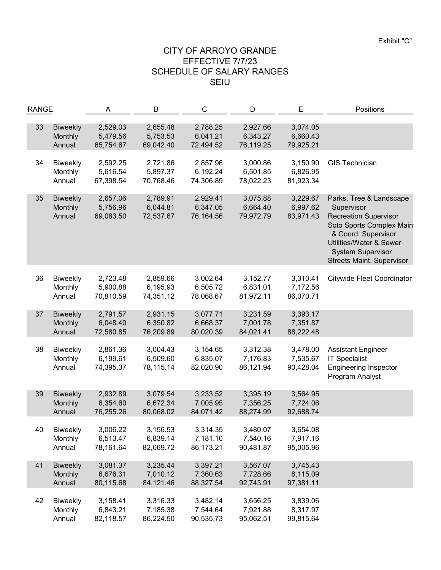| <b>RANGE</b> |                 | Α         | B         | C<br>D    |           | Ε         | Positions                         |
|--------------|-----------------|-----------|-----------|-----------|-----------|-----------|-----------------------------------|
|              |                 |           |           |           |           |           |                                   |
| 33           | <b>Biweekly</b> | 2,529.03  | 2,655.48  | 2,788.25  | 2,927.66  | 3,074.05  |                                   |
|              | Monthly         | 5,479.56  | 5,753.53  | 6,041.21  | 6,343.27  | 6,660.43  |                                   |
|              | Annual          | 65,754.67 | 69,042.40 | 72,494.52 | 76,119.25 | 79,925.21 |                                   |
|              |                 |           |           |           |           |           |                                   |
| 34           | <b>Biweekly</b> | 2,592.25  | 2,721.86  | 2,857.96  | 3,000.86  | 3,150.90  | <b>GIS Technician</b>             |
|              | Monthly         | 5,616.54  | 5,897.37  | 6,192.24  | 6,501.85  | 6,826.95  |                                   |
|              | Annual          | 67,398.54 | 70,768.46 | 74,306.89 | 78,022.23 | 81,923.34 |                                   |
|              |                 |           |           |           |           |           |                                   |
| 35           | <b>Biweekly</b> | 2,657.06  | 2,789.91  | 2,929.41  | 3,075.88  | 3,229.67  | Parks, Tree & Landscape           |
|              | Monthly         | 5,756.96  | 6,044.81  | 6,347.05  | 6,664.40  | 6,997.62  | Supervisor                        |
|              | Annual          | 69,083.50 | 72,537.67 | 76,164.56 | 79,972.79 | 83,971.43 | <b>Recreation Supervisor</b>      |
|              |                 |           |           |           |           |           | Soto Sports Complex Main          |
|              |                 |           |           |           |           |           | & Coord. Supervisor               |
|              |                 |           |           |           |           |           | Utilities/Water & Sewer           |
|              |                 |           |           |           |           |           | <b>System Supervisor</b>          |
|              |                 |           |           |           |           |           | <b>Streets Maint. Supervisor</b>  |
|              |                 |           |           |           |           |           |                                   |
| 36           | <b>Biweekly</b> | 2,723.48  | 2,859.66  | 3,002.64  | 3,152.77  | 3,310.41  | <b>Citywide Fleet Coordinator</b> |
|              | Monthly         | 5,900.88  | 6,195.93  | 6,505.72  | 6,831.01  | 7,172.56  |                                   |
|              | Annual          | 70,810.59 | 74,351.12 | 78,068.67 | 81,972.11 | 86,070.71 |                                   |
|              |                 |           |           |           |           |           |                                   |
| 37           | <b>Biweekly</b> | 2,791.57  | 2,931.15  | 3,077.71  | 3,231.59  | 3,393.17  |                                   |
|              | Monthly         | 6,048.40  | 6,350.82  | 6,668.37  | 7,001.78  | 7,351.87  |                                   |
|              | Annual          | 72,580.85 | 76,209.89 | 80,020.39 | 84,021.41 | 88,222.48 |                                   |
|              |                 |           |           |           |           |           |                                   |
| 38           | <b>Biweekly</b> | 2,861.36  | 3,004.43  | 3,154.65  | 3,312.38  | 3,478.00  | <b>Assistant Engineer</b>         |
|              | Monthly         | 6,199.61  | 6,509.60  | 6,835.07  | 7,176.83  | 7,535.67  | <b>IT Specialist</b>              |
|              | Annual          | 74,395.37 | 78,115.14 | 82,020.90 | 86,121.94 | 90,428.04 | <b>Engineering Inspector</b>      |
|              |                 |           |           |           |           |           | Program Analyst                   |
|              |                 |           |           |           |           |           |                                   |
| 39           | <b>Biweekly</b> | 2,932.89  | 3,079.54  | 3,233.52  | 3,395.19  | 3,564.95  |                                   |
|              | Monthly         | 6,354.60  | 6,672.34  | 7,005.95  | 7,356.25  | 7,724.06  |                                   |
|              | Annual          | 76,255.26 | 80,068.02 | 84,071.42 | 88,274.99 | 92,688.74 |                                   |
|              |                 | 3,006.22  |           | 3,314.35  | 3,480.07  |           |                                   |
| 40           | <b>Biweekly</b> |           | 3,156.53  |           | 7,540.16  | 3,654.08  |                                   |
|              | Monthly         | 6,513.47  | 6,839.14  | 7,181.10  |           | 7,917.16  |                                   |
|              | Annual          | 78,161.64 | 82,069.72 | 86,173.21 | 90,481.87 | 95,005.96 |                                   |
| 41           | <b>Biweekly</b> | 3,081.37  | 3,235.44  | 3,397.21  | 3,567.07  | 3,745.43  |                                   |
|              | Monthly         | 6,676.31  | 7,010.12  | 7,360.63  | 7,728.66  | 8,115.09  |                                   |
|              | Annual          | 80,115.68 | 84,121.46 | 88,327.54 | 92,743.91 | 97,381.11 |                                   |
|              |                 |           |           |           |           |           |                                   |
| 42           | <b>Biweekly</b> | 3,158.41  | 3,316.33  | 3,482.14  | 3,656.25  | 3,839.06  |                                   |
|              | Monthly         | 6,843.21  | 7,185.38  | 7,544.64  | 7,921.88  | 8,317.97  |                                   |
|              | Annual          | 82,118.57 | 86,224.50 | 90,535.73 | 95,062.51 | 99,815.64 |                                   |